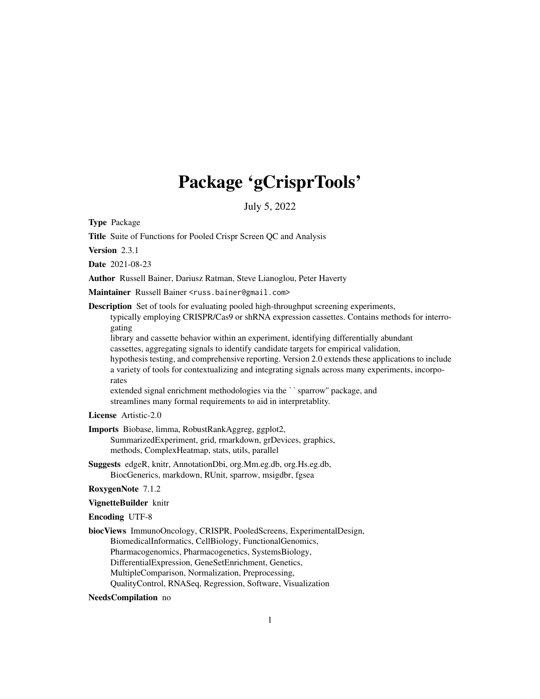# Package 'gCrisprTools'

July 5, 2022

<span id="page-0-0"></span>Type Package

Title Suite of Functions for Pooled Crispr Screen QC and Analysis

Version 2.3.1

Date 2021-08-23

Author Russell Bainer, Dariusz Ratman, Steve Lianoglou, Peter Haverty

Maintainer Russell Bainer <russ.bainer@gmail.com>

Description Set of tools for evaluating pooled high-throughput screening experiments,

typically employing CRISPR/Cas9 or shRNA expression cassettes. Contains methods for interrogating

library and cassette behavior within an experiment, identifying differentially abundant cassettes, aggregating signals to identify candidate targets for empirical validation,

hypothesis testing, and comprehensive reporting. Version 2.0 extends these applications to include a variety of tools for contextualizing and integrating signals across many experiments, incorporates

extended signal enrichment methodologies via the ``sparrow'' package, and streamlines many formal requirements to aid in interpretablity.

License Artistic-2.0

Imports Biobase, limma, RobustRankAggreg, ggplot2, SummarizedExperiment, grid, rmarkdown, grDevices, graphics, methods, ComplexHeatmap, stats, utils, parallel

Suggests edgeR, knitr, AnnotationDbi, org.Mm.eg.db, org.Hs.eg.db, BiocGenerics, markdown, RUnit, sparrow, msigdbr, fgsea

RoxygenNote 7.1.2

VignetteBuilder knitr

Encoding UTF-8

biocViews ImmunoOncology, CRISPR, PooledScreens, ExperimentalDesign, BiomedicalInformatics, CellBiology, FunctionalGenomics, Pharmacogenomics, Pharmacogenetics, SystemsBiology, DifferentialExpression, GeneSetEnrichment, Genetics, MultipleComparison, Normalization, Preprocessing, QualityControl, RNASeq, Regression, Software, Visualization

NeedsCompilation no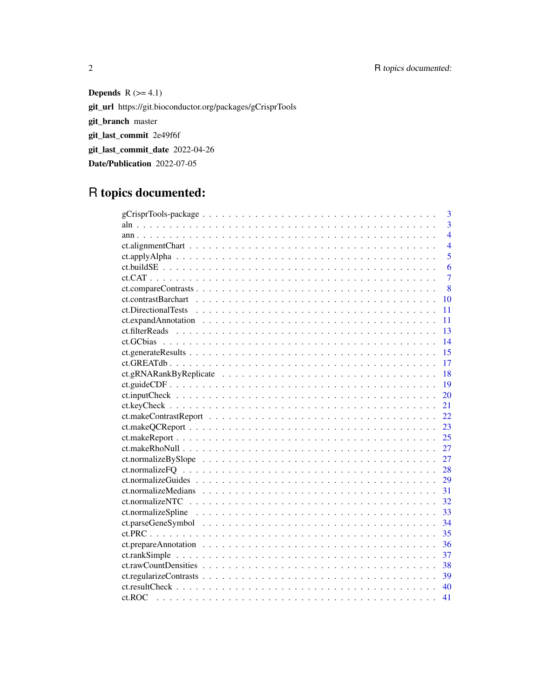# 2 R topics documented:

Depends  $R$  ( $>= 4.1$ ) git\_url https://git.bioconductor.org/packages/gCrisprTools git\_branch master git\_last\_commit 2e49f6f git\_last\_commit\_date 2022-04-26 Date/Publication 2022-07-05

# R topics documented:

|    | 3              |
|----|----------------|
|    | $\overline{3}$ |
|    | $\overline{4}$ |
|    | $\overline{4}$ |
|    | 5              |
|    | 6              |
|    | $\overline{7}$ |
|    | 8              |
| 10 |                |
| 11 |                |
| 11 |                |
| 13 |                |
| 14 |                |
| 15 |                |
| 17 |                |
| 18 |                |
| 19 |                |
| 20 |                |
| 21 |                |
| 22 |                |
| 23 |                |
| 25 |                |
| 27 |                |
| 27 |                |
| 28 |                |
| 29 |                |
| 31 |                |
| 32 |                |
| 33 |                |
| 34 |                |
| 35 |                |
| 36 |                |
| 37 |                |
| 38 |                |
| 39 |                |
| 40 |                |
| 41 |                |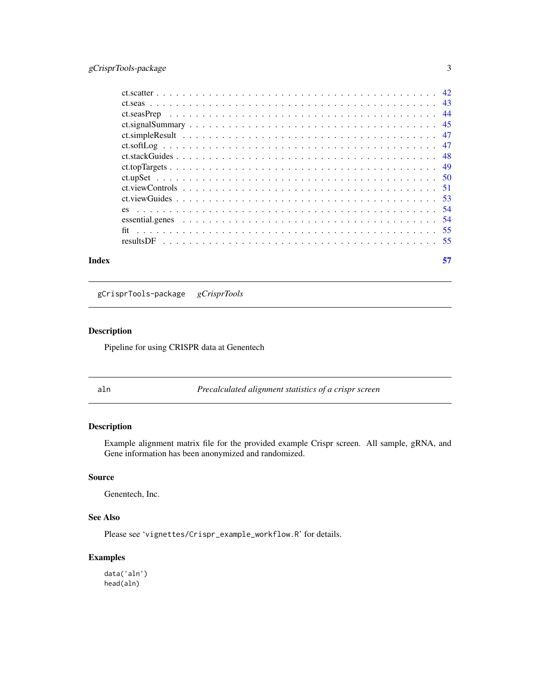# <span id="page-2-0"></span>gCrisprTools-package 3

| Index | 57 |
|-------|----|
|       |    |
|       |    |
|       |    |
|       |    |
|       |    |
|       |    |
|       |    |
|       |    |
|       |    |
|       |    |
|       |    |
|       |    |
|       |    |
|       |    |
|       |    |

gCrisprTools-package *gCrisprTools*

# Description

Pipeline for using CRISPR data at Genentech

aln *Precalculated alignment statistics of a crispr screen*

# Description

Example alignment matrix file for the provided example Crispr screen. All sample, gRNA, and Gene information has been anonymized and randomized.

# Source

Genentech, Inc.

# See Also

Please see 'vignettes/Crispr\_example\_workflow.R' for details.

# Examples

data('aln') head(aln)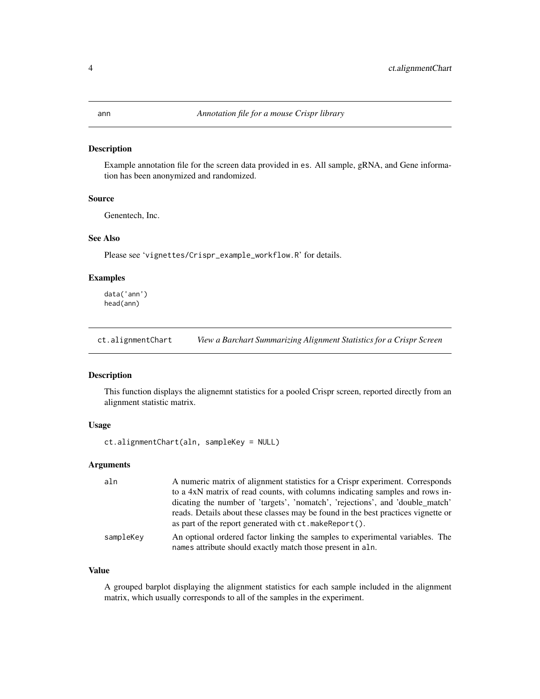#### <span id="page-3-0"></span>Description

Example annotation file for the screen data provided in es. All sample, gRNA, and Gene information has been anonymized and randomized.

# Source

Genentech, Inc.

# See Also

Please see 'vignettes/Crispr\_example\_workflow.R' for details.

# Examples

data('ann') head(ann)

ct.alignmentChart *View a Barchart Summarizing Alignment Statistics for a Crispr Screen*

#### Description

This function displays the alignemnt statistics for a pooled Crispr screen, reported directly from an alignment statistic matrix.

#### Usage

ct.alignmentChart(aln, sampleKey = NULL)

# Arguments

| aln       | A numeric matrix of alignment statistics for a Crispr experiment. Corresponds                                                               |
|-----------|---------------------------------------------------------------------------------------------------------------------------------------------|
|           | to a 4xN matrix of read counts, with columns indicating samples and rows in-                                                                |
|           | dicating the number of 'targets', 'nomatch', 'rejections', and 'double_match'                                                               |
|           | reads. Details about these classes may be found in the best practices vignette or<br>as part of the report generated with ct. makeReport(). |
| sampleKey | An optional ordered factor linking the samples to experimental variables. The<br>names attribute should exactly match those present in aln. |

#### Value

A grouped barplot displaying the alignment statistics for each sample included in the alignment matrix, which usually corresponds to all of the samples in the experiment.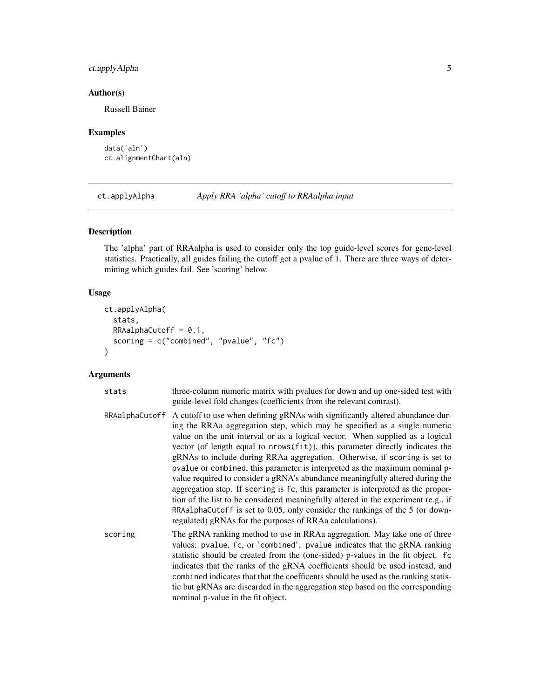# <span id="page-4-0"></span>ct.applyAlpha 5

#### Author(s)

Russell Bainer

#### Examples

```
data('aln')
ct.alignmentChart(aln)
```
ct.applyAlpha *Apply RRA 'alpha' cutoff to RRAalpha input*

#### Description

The 'alpha' part of RRAalpha is used to consider only the top guide-level scores for gene-level statistics. Practically, all guides failing the cutoff get a pvalue of 1. There are three ways of determining which guides fail. See 'scoring' below.

#### Usage

```
ct.applyAlpha(
  stats,
  RRAalphaCutoff = 0.1,
  scoring = c("combined", "pvalue", "fc")
)
```
#### Arguments

- stats three-column numeric matrix with pvalues for down and up one-sided test with guide-level fold changes (coefficients from the relevant contrast).
- RRAalphaCutoff A cutoff to use when defining gRNAs with significantly altered abundance during the RRAa aggregation step, which may be specified as a single numeric value on the unit interval or as a logical vector. When supplied as a logical vector (of length equal to nrows(fit)), this parameter directly indicates the gRNAs to include during RRAa aggregation. Otherwise, if scoring is set to pvalue or combined, this parameter is interpreted as the maximum nominal pvalue required to consider a gRNA's abundance meaningfully altered during the aggregation step. If scoring is fc, this parameter is interpreted as the proportion of the list to be considered meaningfully altered in the experiment (e.g., if RRAalphaCutoff is set to 0.05, only consider the rankings of the 5 (or downregulated) gRNAs for the purposes of RRAa calculations). scoring The gRNA ranking method to use in RRAa aggregation. May take one of three
- values: pvalue, fc, or 'combined'. pvalue indicates that the gRNA ranking statistic should be created from the (one-sided) p-values in the fit object. fc indicates that the ranks of the gRNA coefficients should be used instead, and combined indicates that that the coefficents should be used as the ranking statistic but gRNAs are discarded in the aggregation step based on the corresponding nominal p-value in the fit object.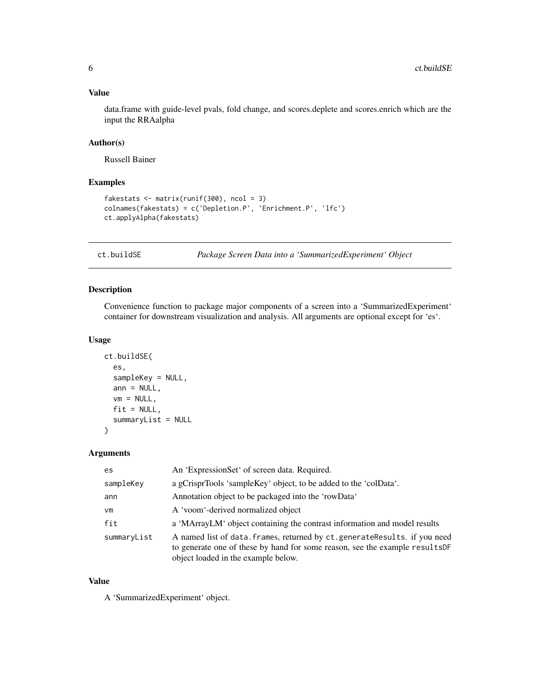# <span id="page-5-0"></span>Value

data.frame with guide-level pvals, fold change, and scores.deplete and scores.enrich which are the input the RRAalpha

# Author(s)

Russell Bainer

# Examples

```
fakestats <- matrix(runif(300), ncol = 3)
colnames(fakestats) = c('Depletion.P', 'Enrichment.P', 'lfc')
ct.applyAlpha(fakestats)
```
ct.buildSE *Package Screen Data into a 'SummarizedExperiment' Object*

# Description

Convenience function to package major components of a screen into a 'SummarizedExperiment' container for downstream visualization and analysis. All arguments are optional except for 'es'.

# Usage

```
ct.buildSE(
  es,
  sampleKey = NULL,
  ann = NULL,vm = NULL,fit = NULL,
  summaryList = NULL
\mathcal{L}
```
#### Arguments

| es.         | An 'ExpressionSet' of screen data. Required.                                                                                                                                                       |
|-------------|----------------------------------------------------------------------------------------------------------------------------------------------------------------------------------------------------|
| sampleKey   | a gCrisprTools 'sampleKey' object, to be added to the 'colData'.                                                                                                                                   |
| ann         | Annotation object to be packaged into the 'rowData'                                                                                                                                                |
| vm          | A 'voom'-derived normalized object                                                                                                                                                                 |
| fit         | a 'MArrayLM' object containing the contrast information and model results                                                                                                                          |
| summaryList | A named list of data. frames, returned by ct. generate Results. if you need<br>to generate one of these by hand for some reason, see the example results DF<br>object loaded in the example below. |

# Value

A 'SummarizedExperiment' object.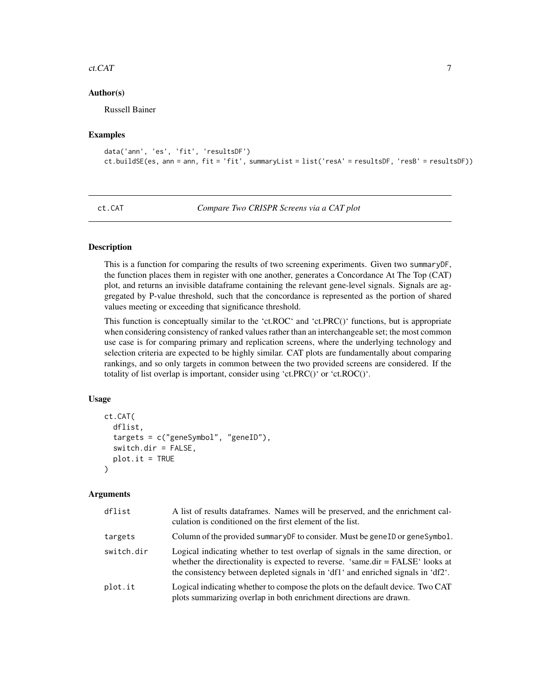#### <span id="page-6-0"></span>ct.CAT 7

#### Author(s)

Russell Bainer

#### Examples

```
data('ann', 'es', 'fit', 'resultsDF')
ct.buildSE(es, ann = ann, fit = 'fit', summaryList = list('resA' = resultsDF, 'resB' = resultsDF))
```

```
ct.CAT Compare Two CRISPR Screens via a CAT plot
```
# **Description**

This is a function for comparing the results of two screening experiments. Given two summaryDF, the function places them in register with one another, generates a Concordance At The Top (CAT) plot, and returns an invisible dataframe containing the relevant gene-level signals. Signals are aggregated by P-value threshold, such that the concordance is represented as the portion of shared values meeting or exceeding that significance threshold.

This function is conceptually similar to the 'ct.ROC' and 'ct.PRC()' functions, but is appropriate when considering consistency of ranked values rather than an interchangeable set; the most common use case is for comparing primary and replication screens, where the underlying technology and selection criteria are expected to be highly similar. CAT plots are fundamentally about comparing rankings, and so only targets in common between the two provided screens are considered. If the totality of list overlap is important, consider using 'ct.PRC()' or 'ct.ROC()'.

#### Usage

```
ct.CAT(
  dflist,
  targets = c("geneSymbol", "geneID"),
  switch.dir = FALSE,
  plot.it = TRUE)
```
# Arguments

| dflist     | A list of results data frames. Names will be preserved, and the enrichment cal-<br>culation is conditioned on the first element of the list.                                                                                                          |
|------------|-------------------------------------------------------------------------------------------------------------------------------------------------------------------------------------------------------------------------------------------------------|
| targets    | Column of the provided summary DF to consider. Must be gene ID or geneSymbol.                                                                                                                                                                         |
| switch.dir | Logical indicating whether to test overlap of signals in the same direction, or<br>whether the directionality is expected to reverse. 'same.dir = FALSE' looks at<br>the consistency between depleted signals in 'df1' and enriched signals in 'df2'. |
| plot.it    | Logical indicating whether to compose the plots on the default device. Two CAT<br>plots summarizing overlap in both enrichment directions are drawn.                                                                                                  |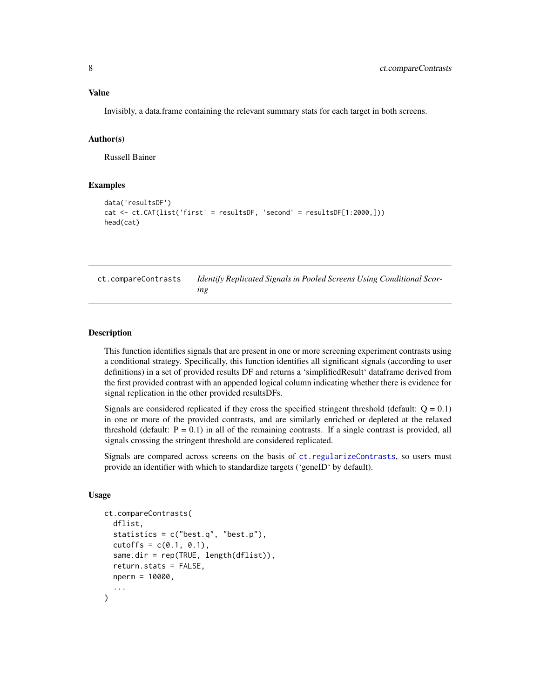# <span id="page-7-0"></span>Value

Invisibly, a data.frame containing the relevant summary stats for each target in both screens.

#### Author(s)

Russell Bainer

# Examples

```
data('resultsDF')
cat <- ct.CAT(list('first' = resultsDF, 'second' = resultsDF[1:2000,]))
head(cat)
```

| ct.compareContrasts | Identify Replicated Signals in Pooled Screens Using Conditional Scor- |
|---------------------|-----------------------------------------------------------------------|
|                     | ıng                                                                   |

#### Description

This function identifies signals that are present in one or more screening experiment contrasts using a conditional strategy. Specifically, this function identifies all significant signals (according to user definitions) in a set of provided results DF and returns a 'simplifiedResult' dataframe derived from the first provided contrast with an appended logical column indicating whether there is evidence for signal replication in the other provided resultsDFs.

Signals are considered replicated if they cross the specified stringent threshold (default:  $Q = 0.1$ ) in one or more of the provided contrasts, and are similarly enriched or depleted at the relaxed threshold (default:  $P = 0.1$ ) in all of the remaining contrasts. If a single contrast is provided, all signals crossing the stringent threshold are considered replicated.

Signals are compared across screens on the basis of [ct.regularizeContrasts](#page-38-1), so users must provide an identifier with which to standardize targets ('geneID' by default).

```
ct.compareContrasts(
  dflist,
  statistics = c("best.q", "best.p"),
  cutoffs = c(0.1, 0.1),same.dir = rep(TRUE, length(dflist)),
  return.stats = FALSE,
  nperm = 10000,
  ...
)
```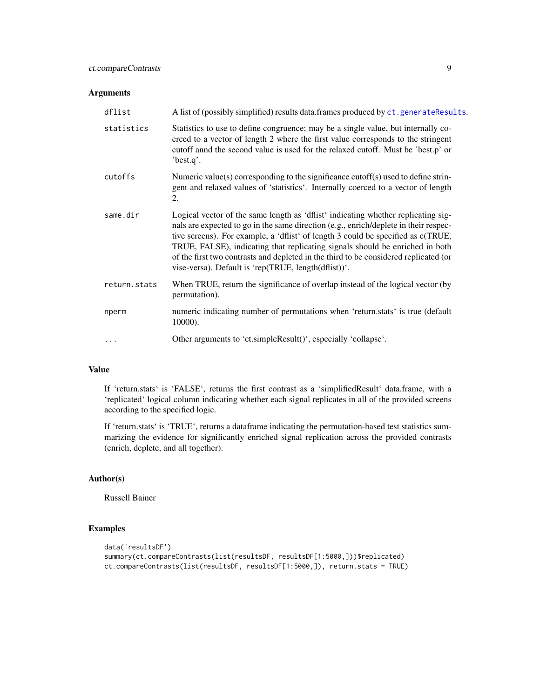<span id="page-8-0"></span>

| dflist       | A list of (possibly simplified) results data.frames produced by ct.generateResults.                                                                                                                                                                                                                                                                                                                                                                                                           |
|--------------|-----------------------------------------------------------------------------------------------------------------------------------------------------------------------------------------------------------------------------------------------------------------------------------------------------------------------------------------------------------------------------------------------------------------------------------------------------------------------------------------------|
| statistics   | Statistics to use to define congruence; may be a single value, but internally co-<br>erced to a vector of length 2 where the first value corresponds to the stringent<br>cutoff annd the second value is used for the relaxed cutoff. Must be 'best.p' or<br>'best.q'.                                                                                                                                                                                                                        |
| cutoffs      | Numeric value(s) corresponding to the significance cutoff(s) used to define strin-<br>gent and relaxed values of 'statistics'. Internally coerced to a vector of length<br>2.                                                                                                                                                                                                                                                                                                                 |
| same.dir     | Logical vector of the same length as 'dflist' indicating whether replicating sig-<br>nals are expected to go in the same direction (e.g., enrich/deplete in their respec-<br>tive screens). For example, a 'dflist' of length 3 could be specified as c(TRUE,<br>TRUE, FALSE), indicating that replicating signals should be enriched in both<br>of the first two contrasts and depleted in the third to be considered replicated (or<br>vise-versa). Default is 'rep(TRUE, length(dflist))'. |
| return.stats | When TRUE, return the significance of overlap instead of the logical vector (by<br>permutation).                                                                                                                                                                                                                                                                                                                                                                                              |
| nperm        | numeric indicating number of permutations when 'return.stats' is true (default<br>10000).                                                                                                                                                                                                                                                                                                                                                                                                     |
|              | Other arguments to 'ct.simpleResult()', especially 'collapse'.                                                                                                                                                                                                                                                                                                                                                                                                                                |

# Value

If 'return.stats' is 'FALSE', returns the first contrast as a 'simplifiedResult' data.frame, with a 'replicated' logical column indicating whether each signal replicates in all of the provided screens according to the specified logic.

If 'return.stats' is 'TRUE', returns a dataframe indicating the permutation-based test statistics summarizing the evidence for significantly enriched signal replication across the provided contrasts (enrich, deplete, and all together).

# Author(s)

Russell Bainer

# Examples

```
data('resultsDF')
summary(ct.compareContrasts(list(resultsDF, resultsDF[1:5000,]))$replicated)
ct.compareContrasts(list(resultsDF, resultsDF[1:5000,]), return.stats = TRUE)
```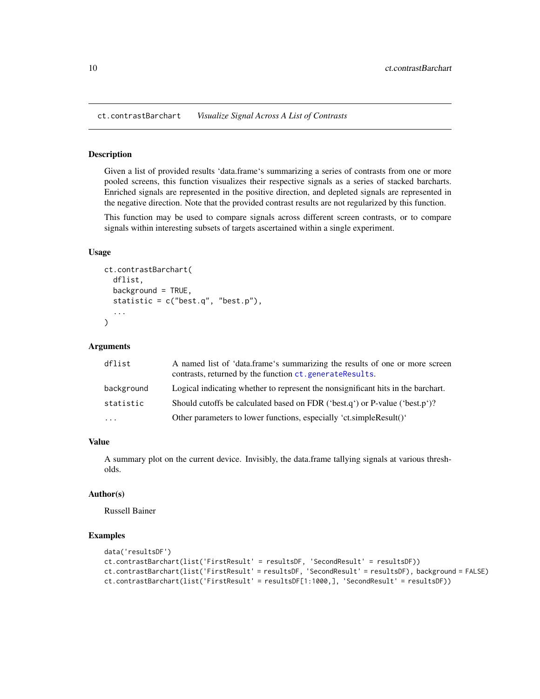<span id="page-9-0"></span>ct.contrastBarchart *Visualize Signal Across A List of Contrasts*

#### Description

Given a list of provided results 'data.frame's summarizing a series of contrasts from one or more pooled screens, this function visualizes their respective signals as a series of stacked barcharts. Enriched signals are represented in the positive direction, and depleted signals are represented in the negative direction. Note that the provided contrast results are not regularized by this function.

This function may be used to compare signals across different screen contrasts, or to compare signals within interesting subsets of targets ascertained within a single experiment.

# Usage

```
ct.contrastBarchart(
  dflist,
 background = TRUE,
  statistic = c("best.q", "best.p"),
  ...
)
```
#### Arguments

| dflist     | A named list of 'data.frame's summarizing the results of one or more screen<br>contrasts, returned by the function ct.generateResults. |
|------------|----------------------------------------------------------------------------------------------------------------------------------------|
| background | Logical indicating whether to represent the nonsignificant hits in the barchart.                                                       |
| statistic  | Should cutoffs be calculated based on FDR ('best.q') or P-value ('best.p')?                                                            |
| $\cdots$   | Other parameters to lower functions, especially 'ct.simpleResult()'                                                                    |

#### Value

A summary plot on the current device. Invisibly, the data.frame tallying signals at various thresholds.

# Author(s)

Russell Bainer

#### Examples

```
data('resultsDF')
ct.contrastBarchart(list('FirstResult' = resultsDF, 'SecondResult' = resultsDF))
ct.contrastBarchart(list('FirstResult' = resultsDF, 'SecondResult' = resultsDF), background = FALSE)
ct.contrastBarchart(list('FirstResult' = resultsDF[1:1000,], 'SecondResult' = resultsDF))
```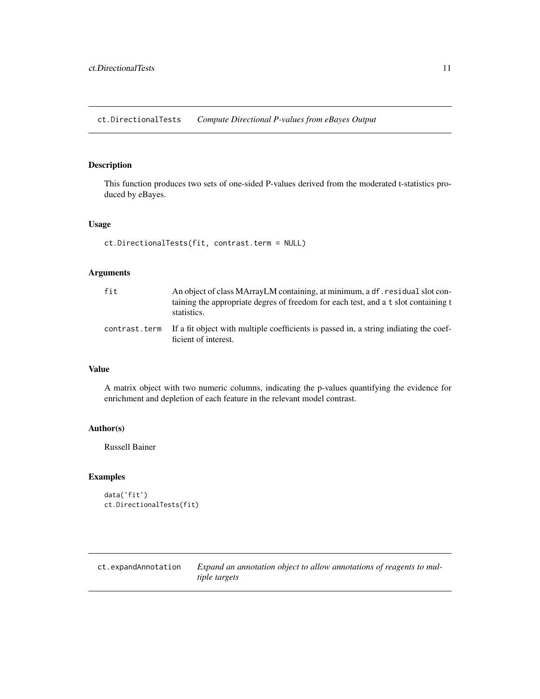<span id="page-10-0"></span>ct.DirectionalTests *Compute Directional P-values from eBayes Output*

### Description

This function produces two sets of one-sided P-values derived from the moderated t-statistics produced by eBayes.

#### Usage

```
ct.DirectionalTests(fit, contrast.term = NULL)
```
# Arguments

| fit | An object of class MArrayLM containing, at minimum, a df. residual slot con-<br>taining the appropriate degres of freedom for each test, and a t slot containing t<br>statistics. |
|-----|-----------------------------------------------------------------------------------------------------------------------------------------------------------------------------------|
|     | contrast, term If a fit object with multiple coefficients is passed in, a string indiating the coef-<br>ficient of interest.                                                      |

# Value

A matrix object with two numeric columns, indicating the p-values quantifying the evidence for enrichment and depletion of each feature in the relevant model contrast.

# Author(s)

Russell Bainer

#### Examples

```
data('fit')
ct.DirectionalTests(fit)
```
ct.expandAnnotation *Expand an annotation object to allow annotations of reagents to multiple targets*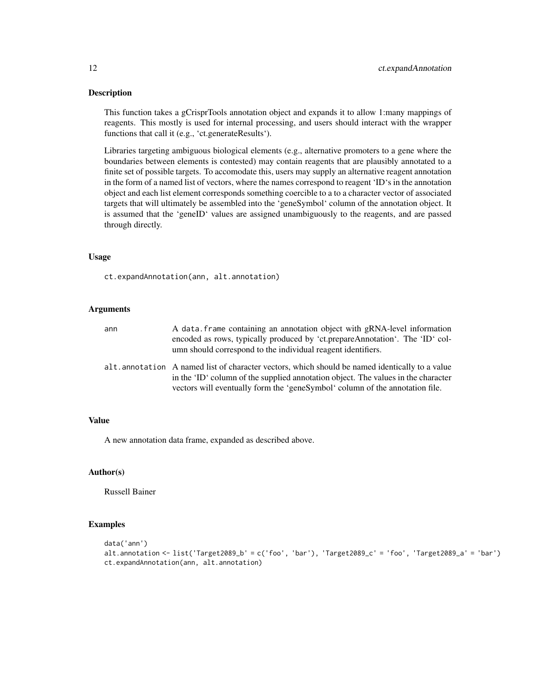#### Description

This function takes a gCrisprTools annotation object and expands it to allow 1:many mappings of reagents. This mostly is used for internal processing, and users should interact with the wrapper functions that call it (e.g., 'ct.generateResults').

Libraries targeting ambiguous biological elements (e.g., alternative promoters to a gene where the boundaries between elements is contested) may contain reagents that are plausibly annotated to a finite set of possible targets. To accomodate this, users may supply an alternative reagent annotation in the form of a named list of vectors, where the names correspond to reagent 'ID's in the annotation object and each list element corresponds something coercible to a to a character vector of associated targets that will ultimately be assembled into the 'geneSymbol' column of the annotation object. It is assumed that the 'geneID' values are assigned unambiguously to the reagents, and are passed through directly.

# Usage

ct.expandAnnotation(ann, alt.annotation)

#### Arguments

| ann | A data frame containing an annotation object with gRNA-level information<br>encoded as rows, typically produced by 'ct.prepareAnnotation'. The 'ID' col-<br>umn should correspond to the individual reagent identifiers.                                              |
|-----|-----------------------------------------------------------------------------------------------------------------------------------------------------------------------------------------------------------------------------------------------------------------------|
|     | alt. annotation A named list of character vectors, which should be named identically to a value<br>in the 'ID' column of the supplied annotation object. The values in the character<br>vectors will eventually form the 'genestymbol' column of the annotation file. |

# Value

A new annotation data frame, expanded as described above.

#### Author(s)

Russell Bainer

#### Examples

```
data('ann')
alt.annotation <- list('Target2089_b' = c('foo', 'bar'), 'Target2089_c' = 'foo', 'Target2089_a' = 'bar')
ct.expandAnnotation(ann, alt.annotation)
```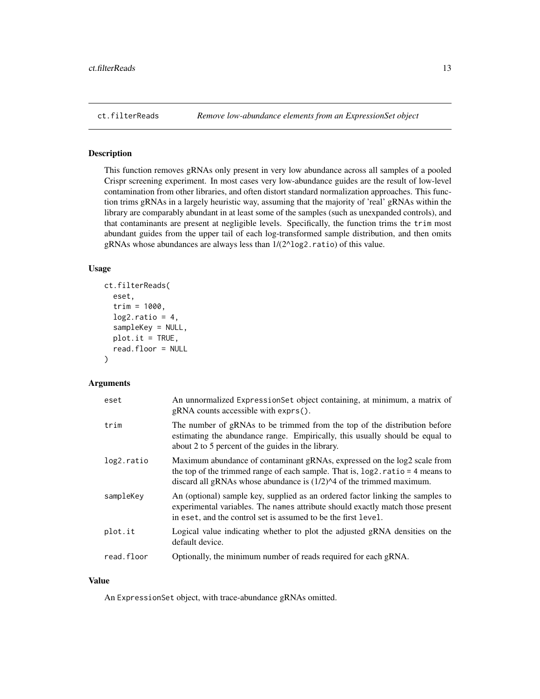#### <span id="page-12-0"></span>Description

This function removes gRNAs only present in very low abundance across all samples of a pooled Crispr screening experiment. In most cases very low-abundance guides are the result of low-level contamination from other libraries, and often distort standard normalization approaches. This function trims gRNAs in a largely heuristic way, assuming that the majority of 'real' gRNAs within the library are comparably abundant in at least some of the samples (such as unexpanded controls), and that contaminants are present at negligible levels. Specifically, the function trims the trim most abundant guides from the upper tail of each log-transformed sample distribution, and then omits gRNAs whose abundances are always less than 1/(2^log2.ratio) of this value.

# Usage

```
ct.filterReads(
  eset,
  trim = 1000,log2.ratio = 4,
  sampleKey = NULL,
  plot.it = TRUE,read.floor = NULL
)
```
#### Arguments

| eset       | An unnormalized ExpressionSet object containing, at minimum, a matrix of<br>$gRNA$ counts accessible with exprs().                                                                                                                      |
|------------|-----------------------------------------------------------------------------------------------------------------------------------------------------------------------------------------------------------------------------------------|
| trim       | The number of gRNAs to be trimmed from the top of the distribution before<br>estimating the abundance range. Empirically, this usually should be equal to<br>about 2 to 5 percent of the guides in the library.                         |
| log2.ratio | Maximum abundance of contaminant gRNAs, expressed on the log2 scale from<br>the top of the trimmed range of each sample. That is, $log2$ ratio = 4 means to<br>discard all gRNAs whose abundance is $(1/2)^{4}$ of the trimmed maximum. |
| sampleKey  | An (optional) sample key, supplied as an ordered factor linking the samples to<br>experimental variables. The names attribute should exactly match those present<br>in eset, and the control set is assumed to be the first level.      |
| plot.it    | Logical value indicating whether to plot the adjusted gRNA densities on the<br>default device.                                                                                                                                          |
| read.floor | Optionally, the minimum number of reads required for each gRNA.                                                                                                                                                                         |

#### Value

An ExpressionSet object, with trace-abundance gRNAs omitted.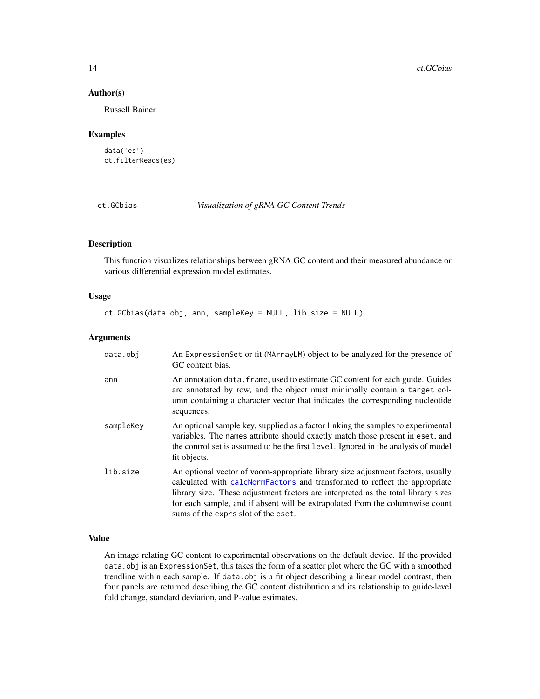#### Author(s)

Russell Bainer

#### Examples

data('es') ct.filterReads(es)

ct.GCbias *Visualization of gRNA GC Content Trends*

#### Description

This function visualizes relationships between gRNA GC content and their measured abundance or various differential expression model estimates.

### Usage

ct.GCbias(data.obj, ann, sampleKey = NULL, lib.size = NULL)

#### Arguments

| data.obj  | An ExpressionSet or fit (MArrayLM) object to be analyzed for the presence of<br>GC content bias.                                                                                                                                                                                                                                                                           |
|-----------|----------------------------------------------------------------------------------------------------------------------------------------------------------------------------------------------------------------------------------------------------------------------------------------------------------------------------------------------------------------------------|
| ann       | An annotation data. frame, used to estimate GC content for each guide. Guides<br>are annotated by row, and the object must minimally contain a target col-<br>umn containing a character vector that indicates the corresponding nucleotide<br>sequences.                                                                                                                  |
| sampleKey | An optional sample key, supplied as a factor linking the samples to experimental<br>variables. The names attribute should exactly match those present in eset, and<br>the control set is assumed to be the first level. Ignored in the analysis of model<br>fit objects.                                                                                                   |
| lib.size  | An optional vector of voom-appropriate library size adjustment factors, usually<br>calculated with calcNormFactors and transformed to reflect the appropriate<br>library size. These adjustment factors are interpreted as the total library sizes<br>for each sample, and if absent will be extrapolated from the columnwise count<br>sums of the exprs slot of the eset. |

# Value

An image relating GC content to experimental observations on the default device. If the provided data.obj is an ExpressionSet, this takes the form of a scatter plot where the GC with a smoothed trendline within each sample. If data.obj is a fit object describing a linear model contrast, then four panels are returned describing the GC content distribution and its relationship to guide-level fold change, standard deviation, and P-value estimates.

<span id="page-13-0"></span>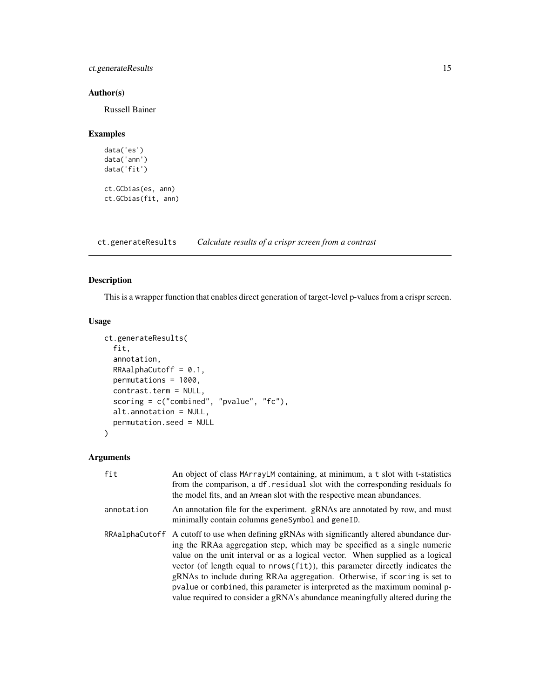# <span id="page-14-0"></span>ct.generateResults 15

# Author(s)

Russell Bainer

# Examples

```
data('es')
data('ann')
data('fit')
ct.GCbias(es, ann)
ct.GCbias(fit, ann)
```
<span id="page-14-1"></span>ct.generateResults *Calculate results of a crispr screen from a contrast*

# Description

This is a wrapper function that enables direct generation of target-level p-values from a crispr screen.

# Usage

```
ct.generateResults(
  fit,
  annotation,
 RRAalphacutoff = 0.1,permutations = 1000,
  contrast.term = NULL,
  scoring = c("combined", "pvalue", "fc"),
  alt.annotation = NULL,
 permutation.seed = NULL
\mathcal{L}
```
# Arguments

| fit        | An object of class MArrayLM containing, at minimum, a t slot with t-statistics<br>from the comparison, a df. residual slot with the corresponding residuals for<br>the model fits, and an Amean slot with the respective mean abundances.                                                                                                                                                                                                                                                                                                                                                                                                                                                                                                    |
|------------|----------------------------------------------------------------------------------------------------------------------------------------------------------------------------------------------------------------------------------------------------------------------------------------------------------------------------------------------------------------------------------------------------------------------------------------------------------------------------------------------------------------------------------------------------------------------------------------------------------------------------------------------------------------------------------------------------------------------------------------------|
| annotation | An annotation file for the experiment. gRNAs are annotated by row, and must<br>minimally contain columns geneSymbol and geneID.                                                                                                                                                                                                                                                                                                                                                                                                                                                                                                                                                                                                              |
|            | RRAalphaCutoff A cutoff to use when defining gRNAs with significantly altered abundance dur-<br>ing the RRAa aggregation step, which may be specified as a single numeric<br>value on the unit interval or as a logical vector. When supplied as a logical<br>vector (of length equal to nrows (fit)), this parameter directly indicates the<br>gRNAs to include during RRAa aggregation. Otherwise, if scoring is set to<br>position position position of product position of position of position position of position of position position of position of position of position of position of position of position of position of position of position o<br>value required to consider a gRNA's abundance meaningfully altered during the |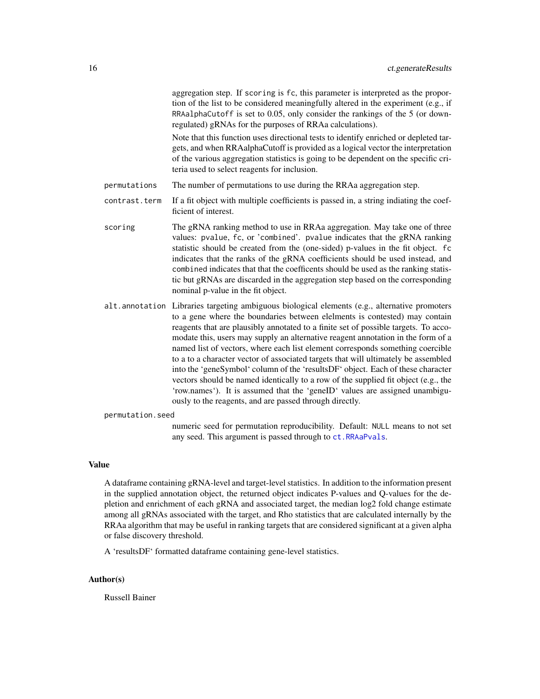<span id="page-15-0"></span>aggregation step. If scoring is fc, this parameter is interpreted as the proportion of the list to be considered meaningfully altered in the experiment (e.g., if RRAalphaCutoff is set to 0.05, only consider the rankings of the 5 (or downregulated) gRNAs for the purposes of RRAa calculations).

Note that this function uses directional tests to identify enriched or depleted targets, and when RRAalphaCutoff is provided as a logical vector the interpretation of the various aggregation statistics is going to be dependent on the specific criteria used to select reagents for inclusion.

- permutations The number of permutations to use during the RRAa aggregation step.
- contrast.term If a fit object with multiple coefficients is passed in, a string indiating the coefficient of interest.
- scoring The gRNA ranking method to use in RRAa aggregation. May take one of three values: pvalue, fc, or 'combined'. pvalue indicates that the gRNA ranking statistic should be created from the (one-sided) p-values in the fit object. fc indicates that the ranks of the gRNA coefficients should be used instead, and combined indicates that that the coefficents should be used as the ranking statistic but gRNAs are discarded in the aggregation step based on the corresponding nominal p-value in the fit object.
- alt.annotation Libraries targeting ambiguous biological elements (e.g., alternative promoters to a gene where the boundaries between elelments is contested) may contain reagents that are plausibly annotated to a finite set of possible targets. To accomodate this, users may supply an alternative reagent annotation in the form of a named list of vectors, where each list element corresponds something coercible to a to a character vector of associated targets that will ultimately be assembled into the 'geneSymbol' column of the 'resultsDF' object. Each of these character vectors should be named identically to a row of the supplied fit object (e.g., the 'row.names'). It is assumed that the 'geneID' values are assigned unambiguously to the reagents, and are passed through directly.

```
permutation.seed
```
numeric seed for permutation reproducibility. Default: NULL means to not set any seed. This argument is passed through to [ct.RRAaPvals](#page-0-0).

#### Value

A dataframe containing gRNA-level and target-level statistics. In addition to the information present in the supplied annotation object, the returned object indicates P-values and Q-values for the depletion and enrichment of each gRNA and associated target, the median log2 fold change estimate among all gRNAs associated with the target, and Rho statistics that are calculated internally by the RRAa algorithm that may be useful in ranking targets that are considered significant at a given alpha or false discovery threshold.

A 'resultsDF' formatted dataframe containing gene-level statistics.

#### Author(s)

Russell Bainer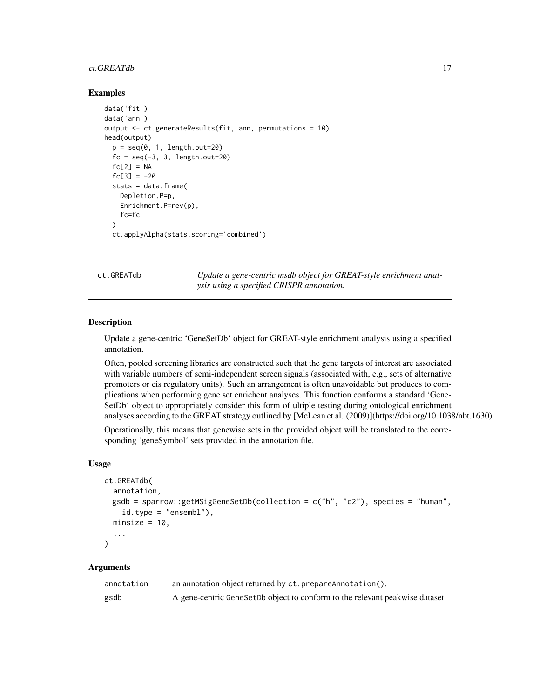#### <span id="page-16-0"></span>ct.GREATdb 17

#### Examples

```
data('fit')
data('ann')
output <- ct.generateResults(fit, ann, permutations = 10)
head(output)
 p = seq(0, 1, length.out=20)fc = seq(-3, 3, length.out=20)fc[2] = NAfc[3] = -20stats = data.frame(
   Depletion.P=p,
   Enrichment.P=rev(p),
   fc=fc
 )
 ct.applyAlpha(stats,scoring='combined')
```
ct.GREATdb *Update a gene-centric msdb object for GREAT-style enrichment analysis using a specified CRISPR annotation.*

#### **Description**

Update a gene-centric 'GeneSetDb' object for GREAT-style enrichment analysis using a specified annotation.

Often, pooled screening libraries are constructed such that the gene targets of interest are associated with variable numbers of semi-independent screen signals (associated with, e.g., sets of alternative promoters or cis regulatory units). Such an arrangement is often unavoidable but produces to complications when performing gene set enrichent analyses. This function conforms a standard 'Gene-SetDb' object to appropriately consider this form of ultiple testing during ontological enrichment analyses according to the GREAT strategy outlined by [McLean et al. (2009)](https://doi.org/10.1038/nbt.1630).

Operationally, this means that genewise sets in the provided object will be translated to the corresponding 'geneSymbol' sets provided in the annotation file.

#### Usage

```
ct.GREATdb(
  annotation,
  gsdb = sparrow::getMSigGeneSetDb(collection = c("h", "c2"), species = "human",
    id.type = "ensemble1"),
  minsize = 10,
  ...
\mathcal{L}
```
# Arguments

| annotation | an annotation object returned by ct. prepareAnnotation().                    |
|------------|------------------------------------------------------------------------------|
| gsdb       | A gene-centric GeneSetDb object to conform to the relevant peakwise dataset. |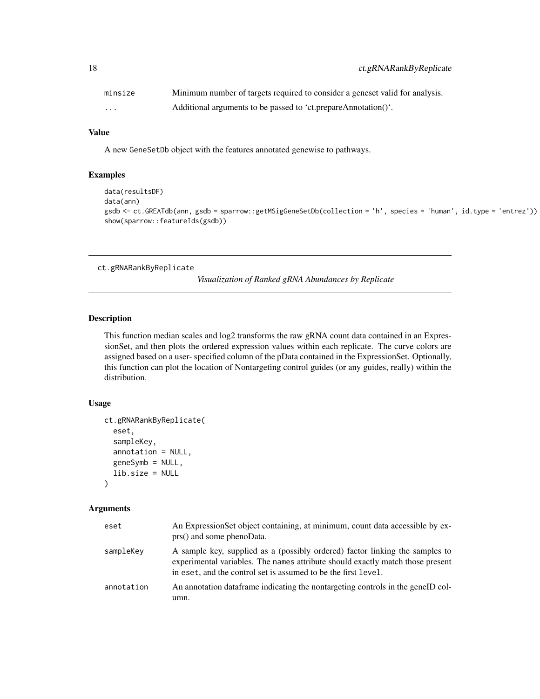<span id="page-17-0"></span>

| minsize | Minimum number of targets required to consider a geneset valid for analysis. |
|---------|------------------------------------------------------------------------------|
| .       | Additional arguments to be passed to 'ct.prepareAnnotation()'.               |

#### Value

A new GeneSetDb object with the features annotated genewise to pathways.

# Examples

```
data(resultsDF)
data(ann)
gsdb <- ct.GREATdb(ann, gsdb = sparrow::getMSigGeneSetDb(collection = 'h', species = 'human', id.type = 'entrez'))
show(sparrow::featureIds(gsdb))
```
<span id="page-17-1"></span>ct.gRNARankByReplicate

*Visualization of Ranked gRNA Abundances by Replicate*

#### Description

This function median scales and log2 transforms the raw gRNA count data contained in an ExpressionSet, and then plots the ordered expression values within each replicate. The curve colors are assigned based on a user- specified column of the pData contained in the ExpressionSet. Optionally, this function can plot the location of Nontargeting control guides (or any guides, really) within the distribution.

#### Usage

```
ct.gRNARankByReplicate(
  eset,
  sampleKey,
  annotation = NULL,
  geneSymb = NULL,
  lib.size = NULL
)
```
# Arguments

| eset       | An ExpressionSet object containing, at minimum, count data accessible by ex-<br>prs() and some phenoData.                                                                                                                        |
|------------|----------------------------------------------------------------------------------------------------------------------------------------------------------------------------------------------------------------------------------|
| sampleKey  | A sample key, supplied as a (possibly ordered) factor linking the samples to<br>experimental variables. The names attribute should exactly match those present<br>in eset, and the control set is assumed to be the first level. |
| annotation | An annotation dataframe indicating the nontargeting controls in the geneID col-<br>umn.                                                                                                                                          |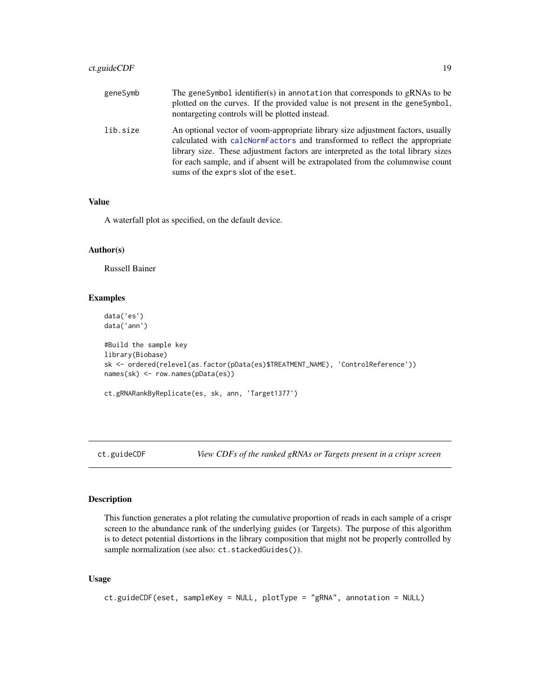<span id="page-18-0"></span>

| geneSymb | The geneSymbol identifier(s) in annotation that corresponds to gRNAs to be<br>plotted on the curves. If the provided value is not present in the genesymbol,<br>nontargeting controls will be plotted instead.                                                                                                                                                             |
|----------|----------------------------------------------------------------------------------------------------------------------------------------------------------------------------------------------------------------------------------------------------------------------------------------------------------------------------------------------------------------------------|
| lib.size | An optional vector of voom-appropriate library size adjustment factors, usually<br>calculated with calcNormFactors and transformed to reflect the appropriate<br>library size. These adjustment factors are interpreted as the total library sizes<br>for each sample, and if absent will be extrapolated from the columnwise count<br>sums of the exprs slot of the eset. |

#### Value

A waterfall plot as specified, on the default device.

# Author(s)

Russell Bainer

#### Examples

data('es') data('ann')

```
#Build the sample key
library(Biobase)
sk <- ordered(relevel(as.factor(pData(es)$TREATMENT_NAME), 'ControlReference'))
names(sk) <- row.names(pData(es))
```

```
ct.gRNARankByReplicate(es, sk, ann, 'Target1377')
```
ct.guideCDF *View CDFs of the ranked gRNAs or Targets present in a crispr screen*

# Description

This function generates a plot relating the cumulative proportion of reads in each sample of a crispr screen to the abundance rank of the underlying guides (or Targets). The purpose of this algorithm is to detect potential distortions in the library composition that might not be properly controlled by sample normalization (see also: ct.stackedGuides()).

```
ct.guideCDF(eset, sampleKey = NULL, plotType = "gRNA", annotation = NULL)
```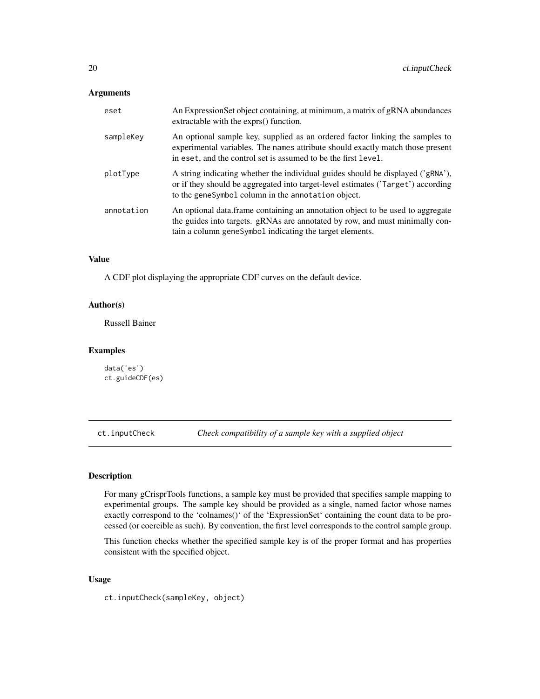<span id="page-19-0"></span>

| eset       | An Expression Set object containing, at minimum, a matrix of gRNA abundances<br>extractable with the exprs() function.                                                                                                           |
|------------|----------------------------------------------------------------------------------------------------------------------------------------------------------------------------------------------------------------------------------|
| sampleKey  | An optional sample key, supplied as an ordered factor linking the samples to<br>experimental variables. The names attribute should exactly match those present<br>in eset, and the control set is assumed to be the first level. |
| plotType   | A string indicating whether the individual guides should be displayed ('gRNA'),<br>or if they should be aggregated into target-level estimates ('Target') according<br>to the geneSymbol column in the annotation object.        |
| annotation | An optional data frame containing an annotation object to be used to aggregate<br>the guides into targets. gRNAs are annotated by row, and must minimally con-<br>tain a column genesymbol indicating the target elements.       |

### Value

A CDF plot displaying the appropriate CDF curves on the default device.

#### Author(s)

Russell Bainer

#### Examples

data('es') ct.guideCDF(es)

ct.inputCheck *Check compatibility of a sample key with a supplied object*

# Description

For many gCrisprTools functions, a sample key must be provided that specifies sample mapping to experimental groups. The sample key should be provided as a single, named factor whose names exactly correspond to the 'colnames()' of the 'ExpressionSet' containing the count data to be processed (or coercible as such). By convention, the first level corresponds to the control sample group.

This function checks whether the specified sample key is of the proper format and has properties consistent with the specified object.

#### Usage

ct.inputCheck(sampleKey, object)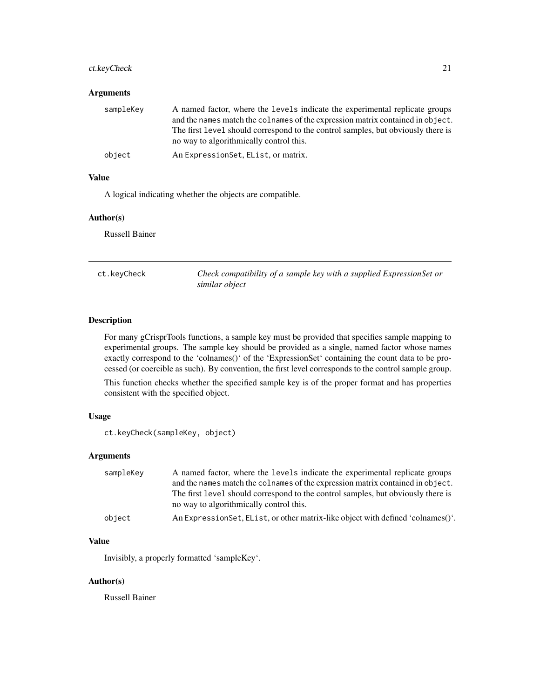# <span id="page-20-0"></span>ct.keyCheck 21

#### Arguments

| sampleKey | A named factor, where the levels indicate the experimental replicate groups<br>and the names match the colnames of the expression matrix contained in object.<br>The first level should correspond to the control samples, but obviously there is<br>no way to algorithmically control this. |
|-----------|----------------------------------------------------------------------------------------------------------------------------------------------------------------------------------------------------------------------------------------------------------------------------------------------|
| object    | An ExpressionSet, EList, or matrix.                                                                                                                                                                                                                                                          |

# Value

A logical indicating whether the objects are compatible.

#### Author(s)

Russell Bainer

ct.keyCheck *Check compatibility of a sample key with a supplied ExpressionSet or similar object*

# Description

For many gCrisprTools functions, a sample key must be provided that specifies sample mapping to experimental groups. The sample key should be provided as a single, named factor whose names exactly correspond to the 'colnames()' of the 'ExpressionSet' containing the count data to be processed (or coercible as such). By convention, the first level corresponds to the control sample group.

This function checks whether the specified sample key is of the proper format and has properties consistent with the specified object.

### Usage

```
ct.keyCheck(sampleKey, object)
```
# Arguments

| sampleKey | A named factor, where the levels indicate the experimental replicate groups      |
|-----------|----------------------------------------------------------------------------------|
|           | and the names match the colnames of the expression matrix contained in object.   |
|           | The first level should correspond to the control samples, but obviously there is |
|           | no way to algorithmically control this.                                          |
| object    | An ExpressionSet, EList, or other matrix-like object with defined 'colnames()'.  |

# Value

Invisibly, a properly formatted 'sampleKey'.

#### Author(s)

Russell Bainer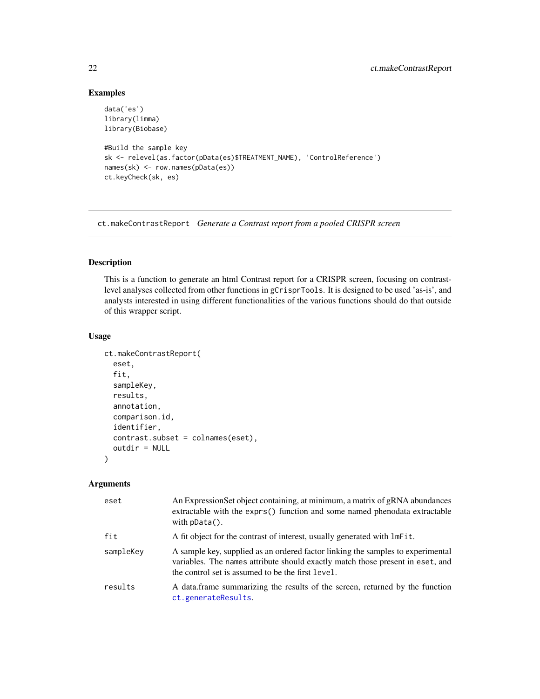# Examples

```
data('es')
library(limma)
library(Biobase)
#Build the sample key
sk <- relevel(as.factor(pData(es)$TREATMENT_NAME), 'ControlReference')
names(sk) <- row.names(pData(es))
ct.keyCheck(sk, es)
```
ct.makeContrastReport *Generate a Contrast report from a pooled CRISPR screen*

# Description

This is a function to generate an html Contrast report for a CRISPR screen, focusing on contrastlevel analyses collected from other functions in gCrisprTools. It is designed to be used 'as-is', and analysts interested in using different functionalities of the various functions should do that outside of this wrapper script.

# Usage

```
ct.makeContrastReport(
  eset,
  fit,
  sampleKey,
  results,
  annotation,
  comparison.id,
  identifier,
  contrast.subset = colnames(eset),
  outdir = NULL)
```
#### Arguments

| eset      | An ExpressionSet object containing, at minimum, a matrix of gRNA abundances<br>extractable with the exprs() function and some named phenodata extractable<br>with $pData()$ .                                          |
|-----------|------------------------------------------------------------------------------------------------------------------------------------------------------------------------------------------------------------------------|
| fit       | A fit object for the contrast of interest, usually generated with lmFit.                                                                                                                                               |
| sampleKey | A sample key, supplied as an ordered factor linking the samples to experimental<br>variables. The names attribute should exactly match those present in eset, and<br>the control set is assumed to be the first level. |
| results   | A data frame summarizing the results of the screen, returned by the function<br>ct.generateResults.                                                                                                                    |

<span id="page-21-0"></span>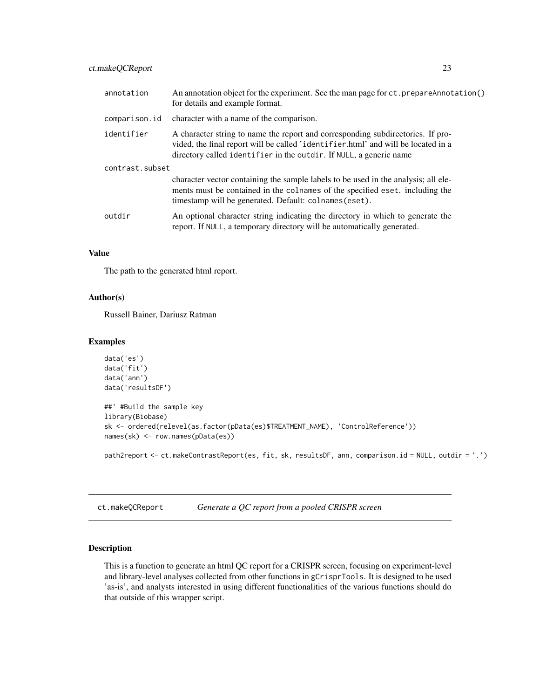<span id="page-22-0"></span>

| annotation      | An annotation object for the experiment. See the man page for ct. prepareAnnotation()<br>for details and example format.                                                                                                                   |
|-----------------|--------------------------------------------------------------------------------------------------------------------------------------------------------------------------------------------------------------------------------------------|
| comparison.id   | character with a name of the comparison.                                                                                                                                                                                                   |
| identifier      | A character string to name the report and corresponding subdirectories. If pro-<br>vided, the final report will be called 'identifier.html' and will be located in a<br>directory called identifier in the outdir. If NULL, a generic name |
| contrast.subset |                                                                                                                                                                                                                                            |
|                 | character vector containing the sample labels to be used in the analysis; all ele-<br>ments must be contained in the colnames of the specified eset. including the<br>timestamp will be generated. Default: colnames (eset).               |
| outdir          | An optional character string indicating the directory in which to generate the<br>report. If NULL, a temporary directory will be automatically generated.                                                                                  |

# Value

The path to the generated html report.

#### Author(s)

Russell Bainer, Dariusz Ratman

## Examples

```
data('es')
data('fit')
data('ann')
data('resultsDF')
##' #Build the sample key
library(Biobase)
sk <- ordered(relevel(as.factor(pData(es)$TREATMENT_NAME), 'ControlReference'))
names(sk) <- row.names(pData(es))
```
path2report <- ct.makeContrastReport(es, fit, sk, resultsDF, ann, comparison.id = NULL, outdir = '.')

ct.makeQCReport *Generate a QC report from a pooled CRISPR screen*

# Description

This is a function to generate an html QC report for a CRISPR screen, focusing on experiment-level and library-level analyses collected from other functions in gCrisprTools. It is designed to be used 'as-is', and analysts interested in using different functionalities of the various functions should do that outside of this wrapper script.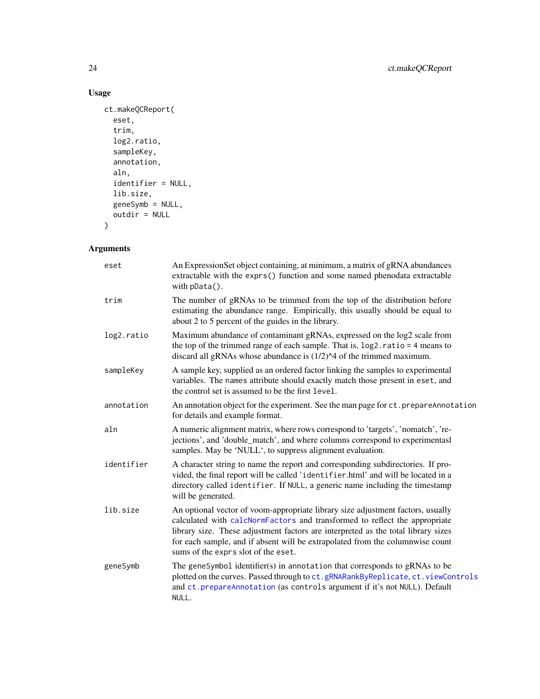# Usage

```
ct.makeQCReport(
  eset,
  trim,
  log2.ratio,
  sampleKey,
  annotation,
  aln,
  identifier = NULL,
  lib.size,
  geneSymb = NULL,
  outdir = NULL
\mathcal{L}
```
# Arguments

| eset       | An ExpressionSet object containing, at minimum, a matrix of gRNA abundances<br>extractable with the exprs() function and some named phenodata extractable<br>with $pData()$ .                                                                                                                                                                                              |
|------------|----------------------------------------------------------------------------------------------------------------------------------------------------------------------------------------------------------------------------------------------------------------------------------------------------------------------------------------------------------------------------|
| trim       | The number of gRNAs to be trimmed from the top of the distribution before<br>estimating the abundance range. Empirically, this usually should be equal to<br>about 2 to 5 percent of the guides in the library.                                                                                                                                                            |
| log2.ratio | Maximum abundance of contaminant gRNAs, expressed on the log2 scale from<br>the top of the trimmed range of each sample. That is, $log2$ ratio = 4 means to<br>discard all gRNAs whose abundance is $(1/2)$ <sup><math>\wedge</math>4</sup> of the trimmed maximum.                                                                                                        |
| sampleKey  | A sample key, supplied as an ordered factor linking the samples to experimental<br>variables. The names attribute should exactly match those present in eset, and<br>the control set is assumed to be the first level.                                                                                                                                                     |
| annotation | An annotation object for the experiment. See the man page for ct. prepareAnnotation<br>for details and example format.                                                                                                                                                                                                                                                     |
| aln        | A numeric alignment matrix, where rows correspond to 'targets', 'nomatch', 're-<br>jections', and 'double_match', and where columns correspond to experimentasl<br>samples. May be 'NULL', to suppress alignment evaluation.                                                                                                                                               |
| identifier | A character string to name the report and corresponding subdirectories. If pro-<br>vided, the final report will be called 'identifier.html' and will be located in a<br>directory called identifier. If NULL, a generic name including the timestamp<br>will be generated.                                                                                                 |
| lib.size   | An optional vector of voom-appropriate library size adjustment factors, usually<br>calculated with calcNormFactors and transformed to reflect the appropriate<br>library size. These adjustment factors are interpreted as the total library sizes<br>for each sample, and if absent will be extrapolated from the columnwise count<br>sums of the exprs slot of the eset. |
| geneSymb   | The geneSymbol identifier(s) in annotation that corresponds to gRNAs to be<br>plotted on the curves. Passed through to ct.gRNARankByReplicate, ct.viewControls<br>and ct. prepareAnnotation (as controls argument if it's not NULL). Default<br>NULL.                                                                                                                      |

<span id="page-23-0"></span>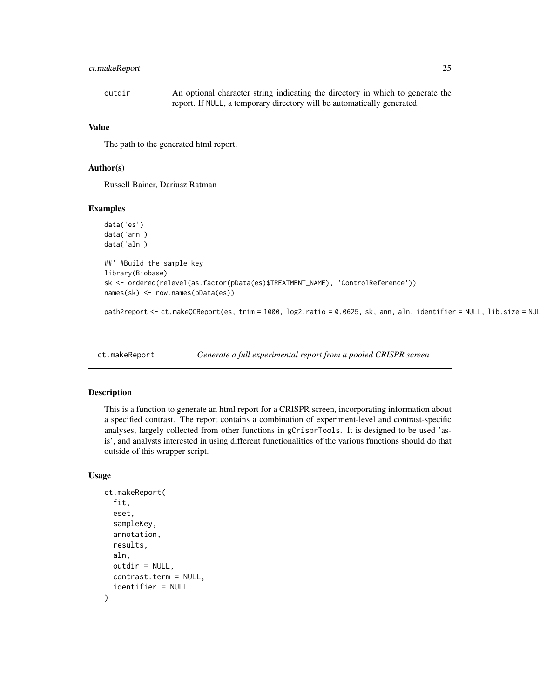# <span id="page-24-0"></span>ct.makeReport 25

| outdir | An optional character string indicating the directory in which to generate the |
|--------|--------------------------------------------------------------------------------|
|        | report. If NULL, a temporary directory will be automatically generated.        |

#### Value

The path to the generated html report.

#### Author(s)

Russell Bainer, Dariusz Ratman

# Examples

```
data('es')
data('ann')
data('aln')
##' #Build the sample key
library(Biobase)
sk <- ordered(relevel(as.factor(pData(es)$TREATMENT_NAME), 'ControlReference'))
names(sk) <- row.names(pData(es))
```
path2report  $\leq$  ct.makeQCReport(es, trim = 1000, log2.ratio = 0.0625, sk, ann, aln, identifier = NULL, lib.size = NUL

ct.makeReport *Generate a full experimental report from a pooled CRISPR screen*

# **Description**

This is a function to generate an html report for a CRISPR screen, incorporating information about a specified contrast. The report contains a combination of experiment-level and contrast-specific analyses, largely collected from other functions in gCrisprTools. It is designed to be used 'asis', and analysts interested in using different functionalities of the various functions should do that outside of this wrapper script.

```
ct.makeReport(
  fit,
  eset,
  sampleKey,
  annotation,
  results,
  aln,
  outdir = NULL,
  contrast.term = NULL,
  identifier = NULL
)
```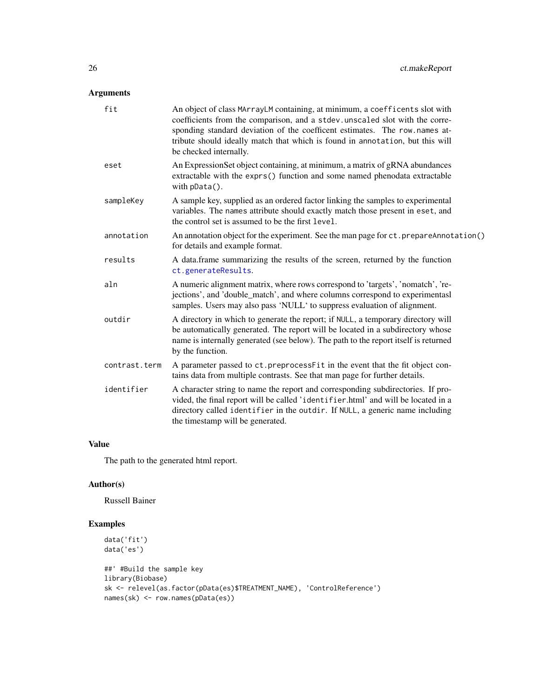<span id="page-25-0"></span>

| fit           | An object of class MArrayLM containing, at minimum, a coefficents slot with<br>coefficients from the comparison, and a stdev.unscaled slot with the corre-<br>sponding standard deviation of the coefficent estimates. The row names at-<br>tribute should ideally match that which is found in annotation, but this will<br>be checked internally. |
|---------------|-----------------------------------------------------------------------------------------------------------------------------------------------------------------------------------------------------------------------------------------------------------------------------------------------------------------------------------------------------|
| eset          | An ExpressionSet object containing, at minimum, a matrix of gRNA abundances<br>extractable with the exprs() function and some named phenodata extractable<br>with $pData()$ .                                                                                                                                                                       |
| sampleKey     | A sample key, supplied as an ordered factor linking the samples to experimental<br>variables. The names attribute should exactly match those present in eset, and<br>the control set is assumed to be the first level.                                                                                                                              |
| annotation    | An annotation object for the experiment. See the man page for ct. prepareAnnotation()<br>for details and example format.                                                                                                                                                                                                                            |
| results       | A data.frame summarizing the results of the screen, returned by the function<br>ct.generateResults.                                                                                                                                                                                                                                                 |
| aln           | A numeric alignment matrix, where rows correspond to 'targets', 'nomatch', 're-<br>jections', and 'double_match', and where columns correspond to experimentasl<br>samples. Users may also pass 'NULL' to suppress evaluation of alignment.                                                                                                         |
| outdir        | A directory in which to generate the report; if NULL, a temporary directory will<br>be automatically generated. The report will be located in a subdirectory whose<br>name is internally generated (see below). The path to the report itself is returned<br>by the function.                                                                       |
| contrast.term | A parameter passed to ct.preprocessFit in the event that the fit object con-<br>tains data from multiple contrasts. See that man page for further details.                                                                                                                                                                                          |
| identifier    | A character string to name the report and corresponding subdirectories. If pro-<br>vided, the final report will be called 'identifier.html' and will be located in a<br>directory called identifier in the outdir. If NULL, a generic name including<br>the timestamp will be generated.                                                            |

# Value

The path to the generated html report.

# Author(s)

Russell Bainer

# Examples

```
data('fit')
data('es')
##' #Build the sample key
library(Biobase)
sk <- relevel(as.factor(pData(es)$TREATMENT_NAME), 'ControlReference')
names(sk) <- row.names(pData(es))
```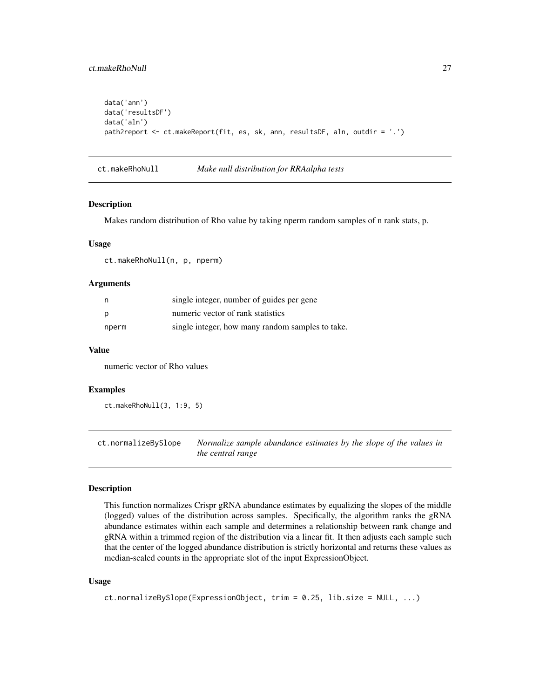# <span id="page-26-0"></span>ct.makeRhoNull 27

```
data('ann')
data('resultsDF')
data('aln')
path2report <- ct.makeReport(fit, es, sk, ann, resultsDF, aln, outdir = '.')
```
ct.makeRhoNull *Make null distribution for RRAalpha tests*

#### Description

Makes random distribution of Rho value by taking nperm random samples of n rank stats, p.

#### Usage

ct.makeRhoNull(n, p, nperm)

#### Arguments

| n     | single integer, number of guides per gene        |
|-------|--------------------------------------------------|
| p     | numeric vector of rank statistics                |
| nperm | single integer, how many random samples to take. |

#### Value

numeric vector of Rho values

#### Examples

```
ct.makeRhoNull(3, 1:9, 5)
```
<span id="page-26-1"></span>ct.normalizeBySlope *Normalize sample abundance estimates by the slope of the values in the central range*

#### Description

This function normalizes Crispr gRNA abundance estimates by equalizing the slopes of the middle (logged) values of the distribution across samples. Specifically, the algorithm ranks the gRNA abundance estimates within each sample and determines a relationship between rank change and gRNA within a trimmed region of the distribution via a linear fit. It then adjusts each sample such that the center of the logged abundance distribution is strictly horizontal and returns these values as median-scaled counts in the appropriate slot of the input ExpressionObject.

```
ct.normalizeBySlope(ExpressionObject, trim = 0.25, lib.size = NULL, ...)
```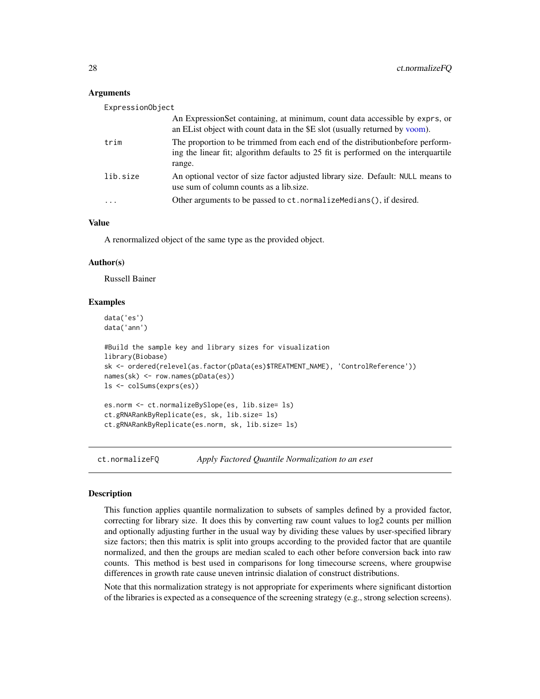<span id="page-27-0"></span>

| ExpressionObject        |                                                                                                                                                                                |  |
|-------------------------|--------------------------------------------------------------------------------------------------------------------------------------------------------------------------------|--|
|                         | An Expression Set containing, at minimum, count data accessible by exprs, or<br>an EList object with count data in the \$E slot (usually returned by voom).                    |  |
| trim                    | The proportion to be trimmed from each end of the distribution before perform-<br>ing the linear fit; algorithm defaults to 25 fit is performed on the interquartile<br>range. |  |
| lib.size                | An optional vector of size factor adjusted library size. Default: NULL means to<br>use sum of column counts as a lib.size.                                                     |  |
| $\cdot$ $\cdot$ $\cdot$ | Other arguments to be passed to ct. normalize Medians (), if desired.                                                                                                          |  |

# Value

A renormalized object of the same type as the provided object.

#### Author(s)

Russell Bainer

#### Examples

```
data('es')
data('ann')
#Build the sample key and library sizes for visualization
library(Biobase)
sk <- ordered(relevel(as.factor(pData(es)$TREATMENT_NAME), 'ControlReference'))
names(sk) <- row.names(pData(es))
ls <- colSums(exprs(es))
es.norm <- ct.normalizeBySlope(es, lib.size= ls)
ct.gRNARankByReplicate(es, sk, lib.size= ls)
ct.gRNARankByReplicate(es.norm, sk, lib.size= ls)
```
ct.normalizeFQ *Apply Factored Quantile Normalization to an eset*

#### **Description**

This function applies quantile normalization to subsets of samples defined by a provided factor, correcting for library size. It does this by converting raw count values to log2 counts per million and optionally adjusting further in the usual way by dividing these values by user-specified library size factors; then this matrix is split into groups according to the provided factor that are quantile normalized, and then the groups are median scaled to each other before conversion back into raw counts. This method is best used in comparisons for long timecourse screens, where groupwise differences in growth rate cause uneven intrinsic dialation of construct distributions.

Note that this normalization strategy is not appropriate for experiments where significant distortion of the libraries is expected as a consequence of the screening strategy (e.g., strong selection screens).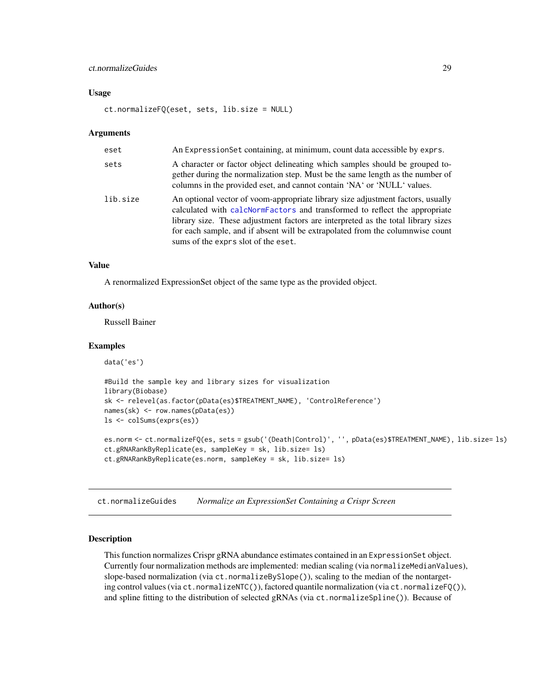# <span id="page-28-0"></span>ct.normalizeGuides 29

#### Usage

```
ct.normalizeFQ(eset, sets, lib.size = NULL)
```
#### Arguments

| eset     | An ExpressionSet containing, at minimum, count data accessible by exprs.                                                                                                                                                                                                                                                                                                   |
|----------|----------------------------------------------------------------------------------------------------------------------------------------------------------------------------------------------------------------------------------------------------------------------------------------------------------------------------------------------------------------------------|
| sets     | A character or factor object delineating which samples should be grouped to-<br>gether during the normalization step. Must be the same length as the number of<br>columns in the provided eset, and cannot contain 'NA' or 'NULL' values.                                                                                                                                  |
| lib.size | An optional vector of voom-appropriate library size adjustment factors, usually<br>calculated with calcNormFactors and transformed to reflect the appropriate<br>library size. These adjustment factors are interpreted as the total library sizes<br>for each sample, and if absent will be extrapolated from the columnwise count<br>sums of the exprs slot of the eset. |

#### Value

A renormalized ExpressionSet object of the same type as the provided object.

# Author(s)

Russell Bainer

#### Examples

```
data('es')
#Build the sample key and library sizes for visualization
library(Biobase)
sk <- relevel(as.factor(pData(es)$TREATMENT_NAME), 'ControlReference')
names(sk) <- row.names(pData(es))
ls <- colSums(exprs(es))
es.norm <- ct.normalizeFQ(es, sets = gsub('(Death|Control)', '', pData(es)$TREATMENT_NAME), lib.size= ls)
ct.gRNARankByReplicate(es, sampleKey = sk, lib.size= ls)
ct.gRNARankByReplicate(es.norm, sampleKey = sk, lib.size= ls)
```
ct.normalizeGuides *Normalize an ExpressionSet Containing a Crispr Screen*

# Description

This function normalizes Crispr gRNA abundance estimates contained in an ExpressionSet object. Currently four normalization methods are implemented: median scaling (via normalizeMedianValues), slope-based normalization (via ct.normalizeBySlope()), scaling to the median of the nontargeting control values (via ct.normalizeNTC()), factored quantile normalization (via ct.normalizeFQ()), and spline fitting to the distribution of selected gRNAs (via ct.normalizeSpline()). Because of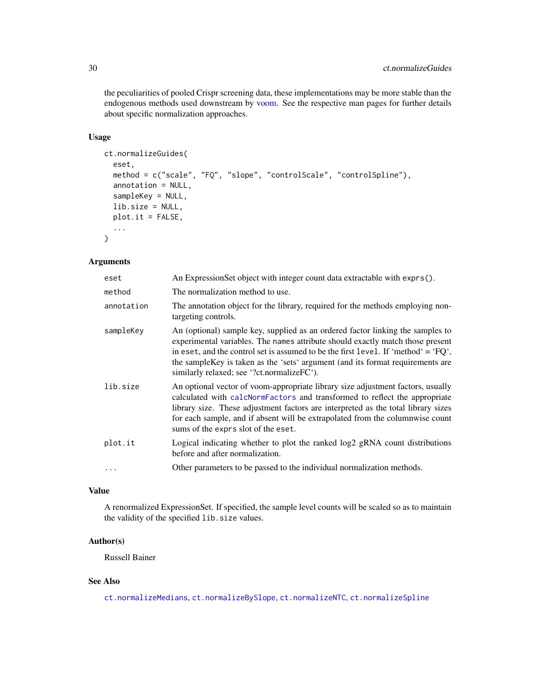<span id="page-29-0"></span>the peculiarities of pooled Crispr screening data, these implementations may be more stable than the endogenous methods used downstream by [voom.](#page-0-0) See the respective man pages for further details about specific normalization approaches.

# Usage

```
ct.normalizeGuides(
  eset,
  method = c("scale", "FQ", "slope", "controlScale", "controlSpline"),
  annotation = NULL,
  sampleKey = NULL,
  lib.size = NULL,
 plot.it = FALSE,...
\mathcal{L}
```
# Arguments

| eset       | An ExpressionSet object with integer count data extractable with exprs().                                                                                                                                                                                                                                                                                                                  |
|------------|--------------------------------------------------------------------------------------------------------------------------------------------------------------------------------------------------------------------------------------------------------------------------------------------------------------------------------------------------------------------------------------------|
| method     | The normalization method to use.                                                                                                                                                                                                                                                                                                                                                           |
| annotation | The annotation object for the library, required for the methods employing non-<br>targeting controls.                                                                                                                                                                                                                                                                                      |
| sampleKey  | An (optional) sample key, supplied as an ordered factor linking the samples to<br>experimental variables. The names attribute should exactly match those present<br>in eset, and the control set is assumed to be the first level. If 'method' = $'PQ'$ ,<br>the sample Key is taken as the 'sets' argument (and its format requirements are<br>similarly relaxed; see '?ct.normalizeFC'). |
| lib.size   | An optional vector of voom-appropriate library size adjustment factors, usually<br>calculated with calcNormFactors and transformed to reflect the appropriate<br>library size. These adjustment factors are interpreted as the total library sizes<br>for each sample, and if absent will be extrapolated from the columnwise count<br>sums of the exprs slot of the eset.                 |
| plot.it    | Logical indicating whether to plot the ranked log2 gRNA count distributions<br>before and after normalization.                                                                                                                                                                                                                                                                             |
| $\cdots$   | Other parameters to be passed to the individual normalization methods.                                                                                                                                                                                                                                                                                                                     |

# Value

A renormalized ExpressionSet. If specified, the sample level counts will be scaled so as to maintain the validity of the specified lib.size values.

# Author(s)

Russell Bainer

# See Also

[ct.normalizeMedians](#page-30-1), [ct.normalizeBySlope](#page-26-1), [ct.normalizeNTC](#page-31-1), [ct.normalizeSpline](#page-32-1)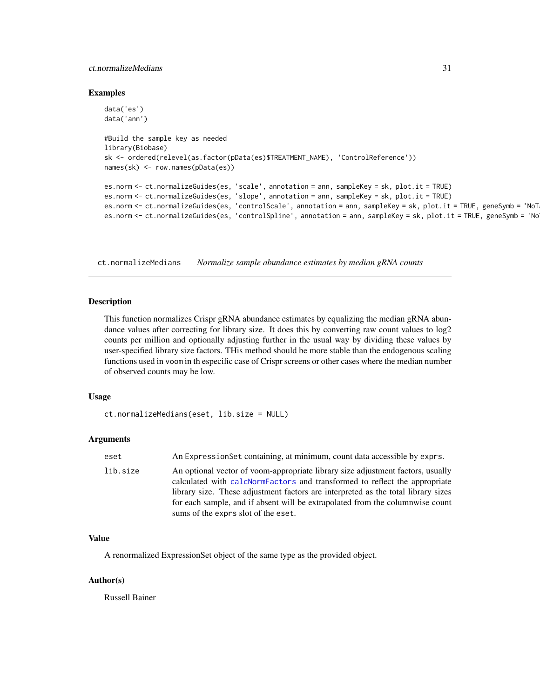#### <span id="page-30-0"></span>ct.normalizeMedians 31

#### Examples

```
data('es')
data('ann')
#Build the sample key as needed
library(Biobase)
sk <- ordered(relevel(as.factor(pData(es)$TREATMENT_NAME), 'ControlReference'))
names(sk) <- row.names(pData(es))
es.norm <- ct.normalizeGuides(es, 'scale', annotation = ann, sampleKey = sk, plot.it = TRUE)
es.norm <- ct.normalizeGuides(es, 'slope', annotation = ann, sampleKey = sk, plot.it = TRUE)
es.norm <- ct.normalizeGuides(es, 'controlScale', annotation = ann, sampleKey = sk, plot.it = TRUE, geneSymb = 'NoT
es.norm <- ct.normalizeGuides(es, 'controlSpline', annotation = ann, sampleKey = sk, plot.it = TRUE, geneSymb = 'No
```
<span id="page-30-1"></span>ct.normalizeMedians *Normalize sample abundance estimates by median gRNA counts*

#### Description

This function normalizes Crispr gRNA abundance estimates by equalizing the median gRNA abundance values after correcting for library size. It does this by converting raw count values to log2 counts per million and optionally adjusting further in the usual way by dividing these values by user-specified library size factors. THis method should be more stable than the endogenous scaling functions used in voom in th especific case of Crispr screens or other cases where the median number of observed counts may be low.

#### Usage

```
ct.normalizeMedians(eset, lib.size = NULL)
```
#### Arguments

| eset     | An Expression Set containing, at minimum, count data accessible by exprs.                                                                                                                                                                                                                                                                                                  |
|----------|----------------------------------------------------------------------------------------------------------------------------------------------------------------------------------------------------------------------------------------------------------------------------------------------------------------------------------------------------------------------------|
| lib.size | An optional vector of voom-appropriate library size adjustment factors, usually<br>calculated with calcNormFactors and transformed to reflect the appropriate<br>library size. These adjustment factors are interpreted as the total library sizes<br>for each sample, and if absent will be extrapolated from the columnwise count<br>sums of the exprs slot of the eset. |

#### Value

A renormalized ExpressionSet object of the same type as the provided object.

### Author(s)

Russell Bainer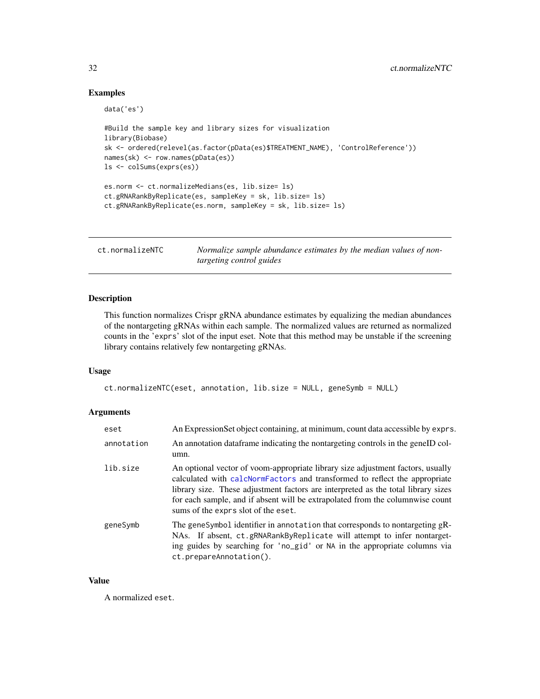#### Examples

```
data('es')
```

```
#Build the sample key and library sizes for visualization
library(Biobase)
sk <- ordered(relevel(as.factor(pData(es)$TREATMENT_NAME), 'ControlReference'))
names(sk) <- row.names(pData(es))
ls <- colSums(exprs(es))
es.norm <- ct.normalizeMedians(es, lib.size= ls)
ct.gRNARankByReplicate(es, sampleKey = sk, lib.size= ls)
ct.gRNARankByReplicate(es.norm, sampleKey = sk, lib.size= ls)
```
<span id="page-31-1"></span>ct.normalizeNTC *Normalize sample abundance estimates by the median values of nontargeting control guides*

#### Description

This function normalizes Crispr gRNA abundance estimates by equalizing the median abundances of the nontargeting gRNAs within each sample. The normalized values are returned as normalized counts in the 'exprs' slot of the input eset. Note that this method may be unstable if the screening library contains relatively few nontargeting gRNAs.

#### Usage

```
ct.normalizeNTC(eset, annotation, lib.size = NULL, geneSymb = NULL)
```
# Arguments

| eset       | An ExpressionSet object containing, at minimum, count data accessible by exprs.                                                                                                                                                                                                                                                                                            |
|------------|----------------------------------------------------------------------------------------------------------------------------------------------------------------------------------------------------------------------------------------------------------------------------------------------------------------------------------------------------------------------------|
| annotation | An annotation dataframe indicating the nontargeting controls in the geneID col-<br>umn.                                                                                                                                                                                                                                                                                    |
| lib.size   | An optional vector of voom-appropriate library size adjustment factors, usually<br>calculated with calcNormFactors and transformed to reflect the appropriate<br>library size. These adjustment factors are interpreted as the total library sizes<br>for each sample, and if absent will be extrapolated from the columnwise count<br>sums of the exprs slot of the eset. |
| geneSymb   | The geneSymbol identifier in annotation that corresponds to nontargeting gR-<br>NAs. If absent, ct.gRNARankByReplicate will attempt to infer nontarget-<br>ing guides by searching for 'no_gid' or NA in the appropriate columns via<br>ct.prepareAnnotation().                                                                                                            |

#### Value

A normalized eset.

<span id="page-31-0"></span>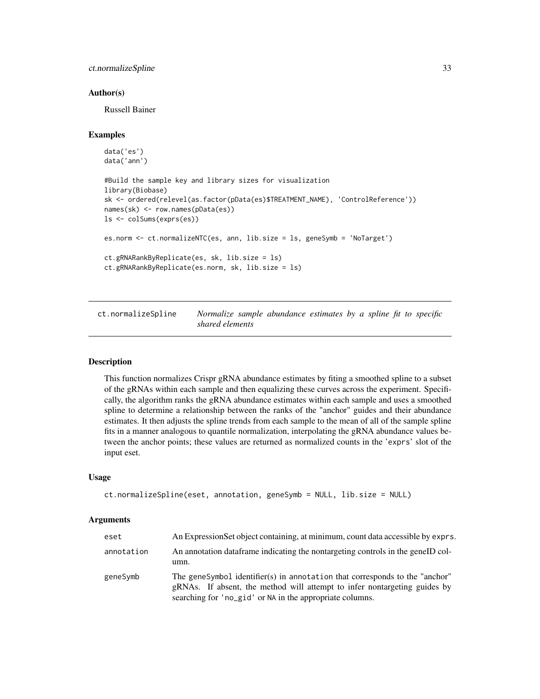# <span id="page-32-0"></span>ct.normalizeSpline 33

#### Author(s)

Russell Bainer

#### Examples

```
data('es')
data('ann')
#Build the sample key and library sizes for visualization
library(Biobase)
sk <- ordered(relevel(as.factor(pData(es)$TREATMENT_NAME), 'ControlReference'))
names(sk) <- row.names(pData(es))
ls <- colSums(exprs(es))
es.norm <- ct.normalizeNTC(es, ann, lib.size = ls, geneSymb = 'NoTarget')
ct.gRNARankByReplicate(es, sk, lib.size = ls)
ct.gRNARankByReplicate(es.norm, sk, lib.size = ls)
```
<span id="page-32-1"></span>ct.normalizeSpline *Normalize sample abundance estimates by a spline fit to specific shared elements*

#### Description

This function normalizes Crispr gRNA abundance estimates by fiting a smoothed spline to a subset of the gRNAs within each sample and then equalizing these curves across the experiment. Specifically, the algorithm ranks the gRNA abundance estimates within each sample and uses a smoothed spline to determine a relationship between the ranks of the "anchor" guides and their abundance estimates. It then adjusts the spline trends from each sample to the mean of all of the sample spline fits in a manner analogous to quantile normalization, interpolating the gRNA abundance values between the anchor points; these values are returned as normalized counts in the 'exprs' slot of the input eset.

#### Usage

```
ct.normalizeSpline(eset, annotation, geneSymb = NULL, lib.size = NULL)
```
#### Arguments

| eset       | An Expression Set object containing, at minimum, count data accessible by exprs.                                                                                                                                     |
|------------|----------------------------------------------------------------------------------------------------------------------------------------------------------------------------------------------------------------------|
| annotation | An annotation data frame indicating the nontargeting controls in the geneID col-<br>umn.                                                                                                                             |
| geneSymb   | The geneSymbol identifier(s) in annotation that corresponds to the "anchor"<br>gRNAs. If absent, the method will attempt to infer nontargeting guides by<br>searching for 'no_gid' or NA in the appropriate columns. |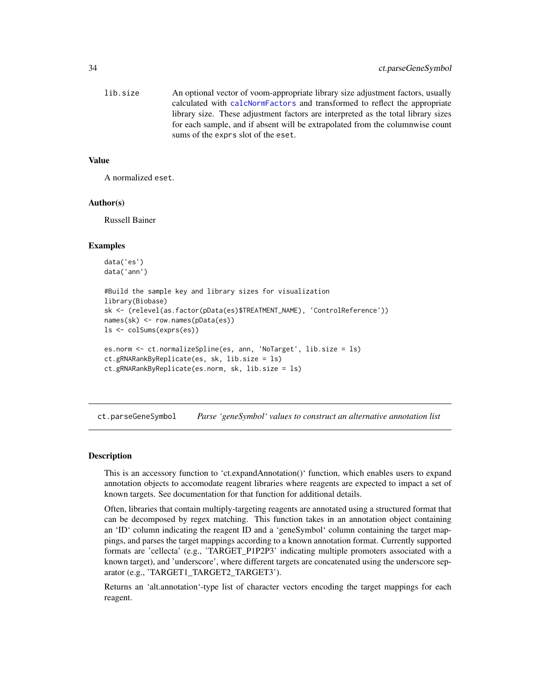<span id="page-33-0"></span>

| lib.size | An optional vector of voom-appropriate library size adjustment factors, usually   |
|----------|-----------------------------------------------------------------------------------|
|          | calculated with calcNormFactors and transformed to reflect the appropriate        |
|          | library size. These adjustment factors are interpreted as the total library sizes |
|          | for each sample, and if absent will be extrapolated from the columnwise count     |
|          | sums of the exprs slot of the eset.                                               |

#### Value

A normalized eset.

# Author(s)

Russell Bainer

#### Examples

```
data('es')
data('ann')
#Build the sample key and library sizes for visualization
library(Biobase)
sk <- (relevel(as.factor(pData(es)$TREATMENT_NAME), 'ControlReference'))
names(sk) <- row.names(pData(es))
ls <- colSums(exprs(es))
es.norm <- ct.normalizeSpline(es, ann, 'NoTarget', lib.size = ls)
ct.gRNARankByReplicate(es, sk, lib.size = ls)
ct.gRNARankByReplicate(es.norm, sk, lib.size = ls)
```
ct.parseGeneSymbol *Parse 'geneSymbol' values to construct an alternative annotation list*

#### Description

This is an accessory function to 'ct.expandAnnotation()' function, which enables users to expand annotation objects to accomodate reagent libraries where reagents are expected to impact a set of known targets. See documentation for that function for additional details.

Often, libraries that contain multiply-targeting reagents are annotated using a structured format that can be decomposed by regex matching. This function takes in an annotation object containing an 'ID' column indicating the reagent ID and a 'geneSymbol' column containing the target mappings, and parses the target mappings according to a known annotation format. Currently supported formats are 'cellecta' (e.g., 'TARGET\_P1P2P3' indicating multiple promoters associated with a known target), and 'underscore', where different targets are concatenated using the underscore separator (e.g., 'TARGET1\_TARGET2\_TARGET3').

Returns an 'alt.annotation'-type list of character vectors encoding the target mappings for each reagent.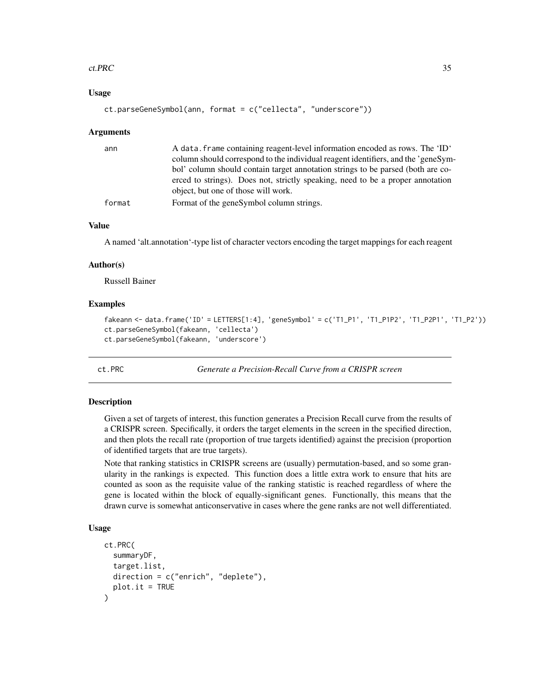#### <span id="page-34-0"></span>ct.PRC 35

#### Usage

```
ct.parseGeneSymbol(ann, format = c("cellecta", "underscore"))
```
#### Arguments

| ann    | A data, frame containing reagent-level information encoded as rows. The 'ID'      |
|--------|-----------------------------------------------------------------------------------|
|        | column should correspond to the individual reagent identifiers, and the 'geneSym- |
|        | bol' column should contain target annotation strings to be parsed (both are co-   |
|        | erced to strings). Does not, strictly speaking, need to be a proper annotation    |
|        | object, but one of those will work.                                               |
| format | Format of the genesymbol column strings.                                          |

#### Value

A named 'alt.annotation'-type list of character vectors encoding the target mappings for each reagent

#### Author(s)

Russell Bainer

#### Examples

```
fakeann <- data.frame('ID' = LETTERS[1:4], 'geneSymbol' = c('T1_P1', 'T1_P1P2', 'T1_P2P1', 'T1_P2'))
ct.parseGeneSymbol(fakeann, 'cellecta')
ct.parseGeneSymbol(fakeann, 'underscore')
```
ct.PRC *Generate a Precision-Recall Curve from a CRISPR screen*

#### Description

Given a set of targets of interest, this function generates a Precision Recall curve from the results of a CRISPR screen. Specifically, it orders the target elements in the screen in the specified direction, and then plots the recall rate (proportion of true targets identified) against the precision (proportion of identified targets that are true targets).

Note that ranking statistics in CRISPR screens are (usually) permutation-based, and so some granularity in the rankings is expected. This function does a little extra work to ensure that hits are counted as soon as the requisite value of the ranking statistic is reached regardless of where the gene is located within the block of equally-significant genes. Functionally, this means that the drawn curve is somewhat anticonservative in cases where the gene ranks are not well differentiated.

```
ct.PRC(
  summaryDF,
  target.list,
  direction = c("enrich", "deplete"),
  plot.it = TRUE)
```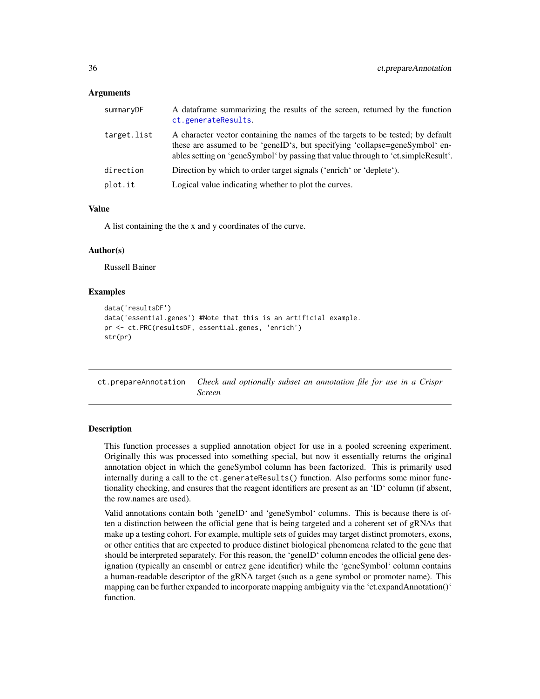<span id="page-35-0"></span>

| summaryDF   | A dataframe summarizing the results of the screen, returned by the function<br>ct.generateResults.                                                                                                                                                  |
|-------------|-----------------------------------------------------------------------------------------------------------------------------------------------------------------------------------------------------------------------------------------------------|
| target.list | A character vector containing the names of the targets to be tested; by default<br>these are assumed to be 'geneID's, but specifying 'collapse=geneSymbol' en-<br>ables setting on 'geneSymbol' by passing that value through to 'ct.simpleResult'. |
| direction   | Direction by which to order target signals ('enrich' or 'deplete').                                                                                                                                                                                 |
| plot.it     | Logical value indicating whether to plot the curves.                                                                                                                                                                                                |

#### Value

A list containing the the x and y coordinates of the curve.

#### Author(s)

Russell Bainer

#### Examples

```
data('resultsDF')
data('essential.genes') #Note that this is an artificial example.
pr <- ct.PRC(resultsDF, essential.genes, 'enrich')
str(pr)
```
<span id="page-35-1"></span>ct.prepareAnnotation *Check and optionally subset an annotation file for use in a Crispr Screen*

#### Description

This function processes a supplied annotation object for use in a pooled screening experiment. Originally this was processed into something special, but now it essentially returns the original annotation object in which the geneSymbol column has been factorized. This is primarily used internally during a call to the ct.generateResults() function. Also performs some minor functionality checking, and ensures that the reagent identifiers are present as an 'ID' column (if absent, the row.names are used).

Valid annotations contain both 'geneID' and 'geneSymbol' columns. This is because there is often a distinction between the official gene that is being targeted and a coherent set of gRNAs that make up a testing cohort. For example, multiple sets of guides may target distinct promoters, exons, or other entities that are expected to produce distinct biological phenomena related to the gene that should be interpreted separately. For this reason, the 'geneID' column encodes the official gene designation (typically an ensembl or entrez gene identifier) while the 'geneSymbol' column contains a human-readable descriptor of the gRNA target (such as a gene symbol or promoter name). This mapping can be further expanded to incorporate mapping ambiguity via the 'ct.expandAnnotation()' function.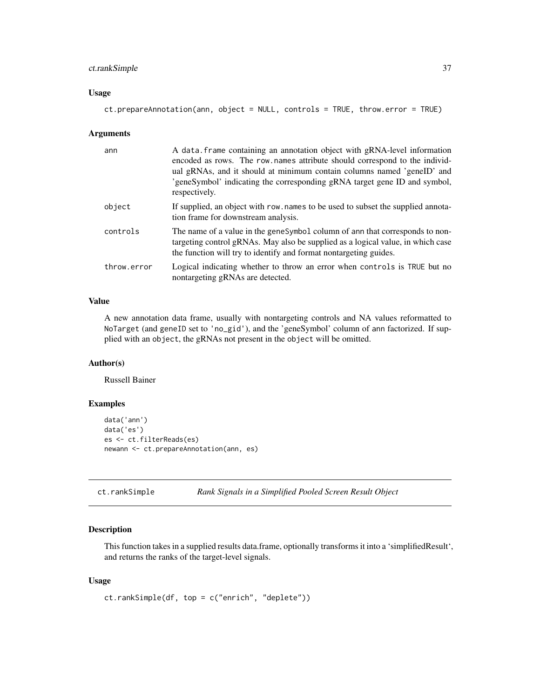# <span id="page-36-0"></span>ct.rankSimple 37

#### Usage

```
ct.prepareAnnotation(ann, object = NULL, controls = TRUE, throw.error = TRUE)
```
#### Arguments

| ann         | A data frame containing an annotation object with gRNA-level information<br>encoded as rows. The row names attribute should correspond to the individ-<br>ual gRNAs, and it should at minimum contain columns named 'geneID' and<br>'geneSymbol' indicating the corresponding gRNA target gene ID and symbol,<br>respectively. |
|-------------|--------------------------------------------------------------------------------------------------------------------------------------------------------------------------------------------------------------------------------------------------------------------------------------------------------------------------------|
| object      | If supplied, an object with row, names to be used to subset the supplied annota-<br>tion frame for downstream analysis.                                                                                                                                                                                                        |
| controls    | The name of a value in the genesymbol column of ann that corresponds to non-<br>targeting control gRNAs. May also be supplied as a logical value, in which case<br>the function will try to identify and format nontargeting guides.                                                                                           |
| throw.error | Logical indicating whether to throw an error when controls is TRUE but no<br>nontargeting gRNAs are detected.                                                                                                                                                                                                                  |

# Value

A new annotation data frame, usually with nontargeting controls and NA values reformatted to NoTarget (and geneID set to 'no\_gid'), and the 'geneSymbol' column of ann factorized. If supplied with an object, the gRNAs not present in the object will be omitted.

# Author(s)

Russell Bainer

# Examples

```
data('ann')
data('es')
es <- ct.filterReads(es)
newann <- ct.prepareAnnotation(ann, es)
```
ct.rankSimple *Rank Signals in a Simplified Pooled Screen Result Object*

# Description

This function takes in a supplied results data.frame, optionally transforms it into a 'simplifiedResult', and returns the ranks of the target-level signals.

```
ct.rankSimple(df, top = c("enrich", "deplete"))
```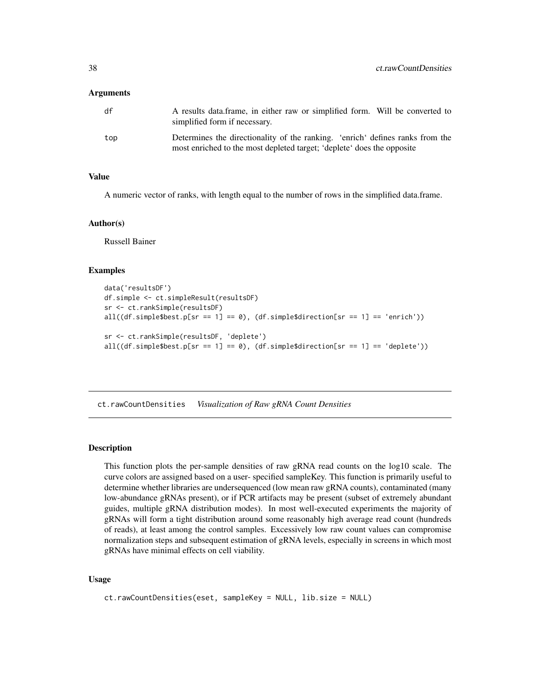<span id="page-37-0"></span>

| df  | A results data frame, in either raw or simplified form. Will be converted to<br>simplified form if necessary.                                           |
|-----|---------------------------------------------------------------------------------------------------------------------------------------------------------|
| top | Determines the directionality of the ranking. 'enrich' defines ranks from the<br>most enriched to the most depleted target; 'deplete' does the opposite |

#### Value

A numeric vector of ranks, with length equal to the number of rows in the simplified data.frame.

#### Author(s)

Russell Bainer

#### Examples

```
data('resultsDF')
df.simple <- ct.simpleResult(resultsDF)
sr <- ct.rankSimple(resultsDF)
all((df.simple$best.p[sr == 1] == 0), (df.simple$direction[sr == 1] == 'enrich'))
sr <- ct.rankSimple(resultsDF, 'deplete')
all((df.simple$best.p[sr == 1] == 0), (df.simple$direction[sr == 1] == 'deplete'))
```
ct.rawCountDensities *Visualization of Raw gRNA Count Densities*

#### **Description**

This function plots the per-sample densities of raw gRNA read counts on the log10 scale. The curve colors are assigned based on a user- specified sampleKey. This function is primarily useful to determine whether libraries are undersequenced (low mean raw gRNA counts), contaminated (many low-abundance gRNAs present), or if PCR artifacts may be present (subset of extremely abundant guides, multiple gRNA distribution modes). In most well-executed experiments the majority of gRNAs will form a tight distribution around some reasonably high average read count (hundreds of reads), at least among the control samples. Excessively low raw count values can compromise normalization steps and subsequent estimation of gRNA levels, especially in screens in which most gRNAs have minimal effects on cell viability.

```
ct.rawCountDensities(eset, sampleKey = NULL, lib.size = NULL)
```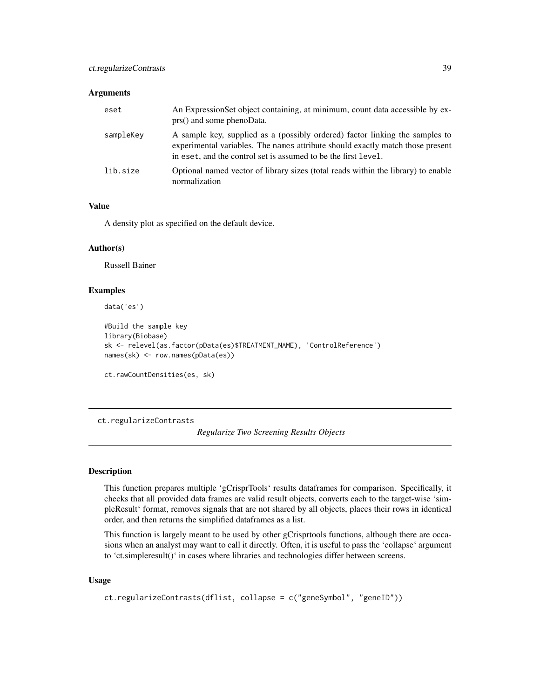<span id="page-38-0"></span>

| eset      | An Expression Set object containing, at minimum, count data accessible by ex-<br>prs() and some phenoData.                                                                                                                       |
|-----------|----------------------------------------------------------------------------------------------------------------------------------------------------------------------------------------------------------------------------------|
| sampleKey | A sample key, supplied as a (possibly ordered) factor linking the samples to<br>experimental variables. The names attribute should exactly match those present<br>in eset, and the control set is assumed to be the first level. |
| lib.size  | Optional named vector of library sizes (total reads within the library) to enable<br>normalization                                                                                                                               |

# Value

A density plot as specified on the default device.

### Author(s)

Russell Bainer

# Examples

data('es')

```
#Build the sample key
library(Biobase)
sk <- relevel(as.factor(pData(es)$TREATMENT_NAME), 'ControlReference')
names(sk) <- row.names(pData(es))
```

```
ct.rawCountDensities(es, sk)
```
<span id="page-38-1"></span>ct.regularizeContrasts

*Regularize Two Screening Results Objects*

# Description

This function prepares multiple 'gCrisprTools' results dataframes for comparison. Specifically, it checks that all provided data frames are valid result objects, converts each to the target-wise 'simpleResult' format, removes signals that are not shared by all objects, places their rows in identical order, and then returns the simplified dataframes as a list.

This function is largely meant to be used by other gCrisprtools functions, although there are occasions when an analyst may want to call it directly. Often, it is useful to pass the 'collapse' argument to 'ct.simpleresult()' in cases where libraries and technologies differ between screens.

```
ct.regularizeContrasts(dflist, collapse = c("geneSymbol", "geneID"))
```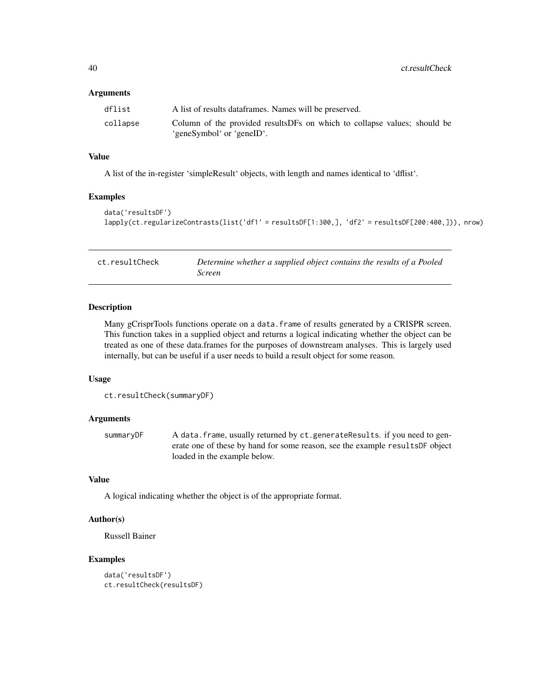<span id="page-39-0"></span>

| dflist   | A list of results data frames. Names will be preserved.                                                |
|----------|--------------------------------------------------------------------------------------------------------|
| collapse | Column of the provided results DFs on which to collapse values; should be<br>'geneSymbol' or 'geneID'. |

# Value

A list of the in-register 'simpleResult' objects, with length and names identical to 'dflist'.

#### Examples

```
data('resultsDF')
lapply(ct.regularizeContrasts(list('df1' = resultsDF[1:300,], 'df2' = resultsDF[200:400,])), nrow)
```

| ct.resultCheck | Determine whether a supplied object contains the results of a Pooled |
|----------------|----------------------------------------------------------------------|
|                | Screen                                                               |

# Description

Many gCrisprTools functions operate on a data.frame of results generated by a CRISPR screen. This function takes in a supplied object and returns a logical indicating whether the object can be treated as one of these data.frames for the purposes of downstream analyses. This is largely used internally, but can be useful if a user needs to build a result object for some reason.

# Usage

```
ct.resultCheck(summaryDF)
```
#### Arguments

summaryDF A data.frame, usually returned by ct.generateResults. if you need to generate one of these by hand for some reason, see the example resultsDF object loaded in the example below.

#### Value

A logical indicating whether the object is of the appropriate format.

#### Author(s)

Russell Bainer

# Examples

```
data('resultsDF')
ct.resultCheck(resultsDF)
```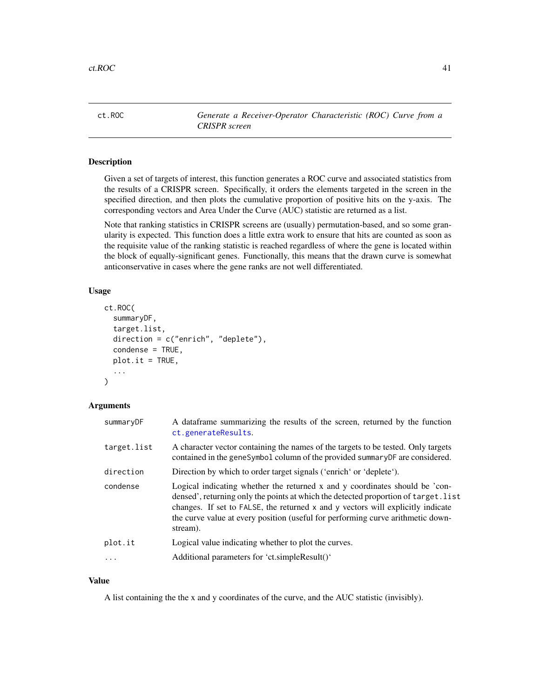<span id="page-40-0"></span>ct.ROC *Generate a Receiver-Operator Characteristic (ROC) Curve from a CRISPR screen*

#### Description

Given a set of targets of interest, this function generates a ROC curve and associated statistics from the results of a CRISPR screen. Specifically, it orders the elements targeted in the screen in the specified direction, and then plots the cumulative proportion of positive hits on the y-axis. The corresponding vectors and Area Under the Curve (AUC) statistic are returned as a list.

Note that ranking statistics in CRISPR screens are (usually) permutation-based, and so some granularity is expected. This function does a little extra work to ensure that hits are counted as soon as the requisite value of the ranking statistic is reached regardless of where the gene is located within the block of equally-significant genes. Functionally, this means that the drawn curve is somewhat anticonservative in cases where the gene ranks are not well differentiated.

### Usage

```
ct.ROC(
  summaryDF,
  target.list,
  direction = c("enrich", "deplete"),
  condense = TRUE,plot.it = TRUE,...
)
```
# Arguments

| summaryDF   | A dataframe summarizing the results of the screen, returned by the function<br>ct.generateResults.                                                                                                                                                                                                                                                   |
|-------------|------------------------------------------------------------------------------------------------------------------------------------------------------------------------------------------------------------------------------------------------------------------------------------------------------------------------------------------------------|
| target.list | A character vector containing the names of the targets to be tested. Only targets<br>contained in the geneSymbol column of the provided summaryDF are considered.                                                                                                                                                                                    |
| direction   | Direction by which to order target signals ('enrich' or 'deplete').                                                                                                                                                                                                                                                                                  |
| condense    | Logical indicating whether the returned x and y coordinates should be 'con-<br>densed', returning only the points at which the detected proportion of target. list<br>changes. If set to FALSE, the returned x and y vectors will explicitly indicate<br>the curve value at every position (useful for performing curve arithmetic down-<br>stream). |
| plot.it     | Logical value indicating whether to plot the curves.                                                                                                                                                                                                                                                                                                 |
| $\ddots$    | Additional parameters for 'ct.simpleResult()'                                                                                                                                                                                                                                                                                                        |
|             |                                                                                                                                                                                                                                                                                                                                                      |

#### Value

A list containing the the x and y coordinates of the curve, and the AUC statistic (invisibly).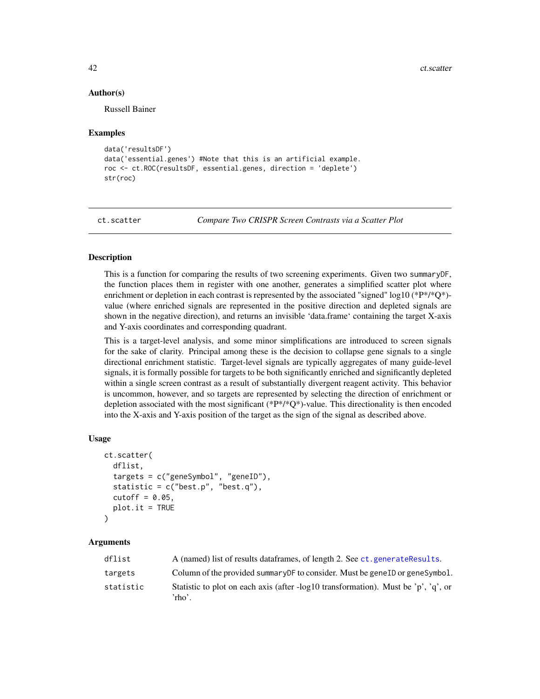#### <span id="page-41-0"></span>Author(s)

Russell Bainer

#### Examples

```
data('resultsDF')
data('essential.genes') #Note that this is an artificial example.
roc <- ct.ROC(resultsDF, essential.genes, direction = 'deplete')
str(roc)
```
ct.scatter *Compare Two CRISPR Screen Contrasts via a Scatter Plot*

# **Description**

This is a function for comparing the results of two screening experiments. Given two summaryDF, the function places them in register with one another, generates a simplified scatter plot where enrichment or depletion in each contrast is represented by the associated "signed" log10 (\* $P^*/^*Q^*$ )value (where enriched signals are represented in the positive direction and depleted signals are shown in the negative direction), and returns an invisible 'data.frame' containing the target X-axis and Y-axis coordinates and corresponding quadrant.

This is a target-level analysis, and some minor simplifications are introduced to screen signals for the sake of clarity. Principal among these is the decision to collapse gene signals to a single directional enrichment statistic. Target-level signals are typically aggregates of many guide-level signals, it is formally possible for targets to be both significantly enriched and significantly depleted within a single screen contrast as a result of substantially divergent reagent activity. This behavior is uncommon, however, and so targets are represented by selecting the direction of enrichment or depletion associated with the most significant  $(*P*/*Q*)$ -value. This directionality is then encoded into the X-axis and Y-axis position of the target as the sign of the signal as described above.

#### Usage

```
ct.scatter(
  dflist,
  targets = c("geneSymbol", "geneID"),
  statistic = c("best.p", "best.q"),cutoff = 0.05,plot.it = TRUE\mathcal{L}
```
#### Arguments

| dflist    | A (named) list of results dataframes, of length 2. See ct. generate Results.                 |
|-----------|----------------------------------------------------------------------------------------------|
| targets   | Column of the provided summary DF to consider. Must be genell or geneSymbol.                 |
| statistic | Statistic to plot on each axis (after -log10 transformation). Must be 'p', 'q', or<br>'rho'. |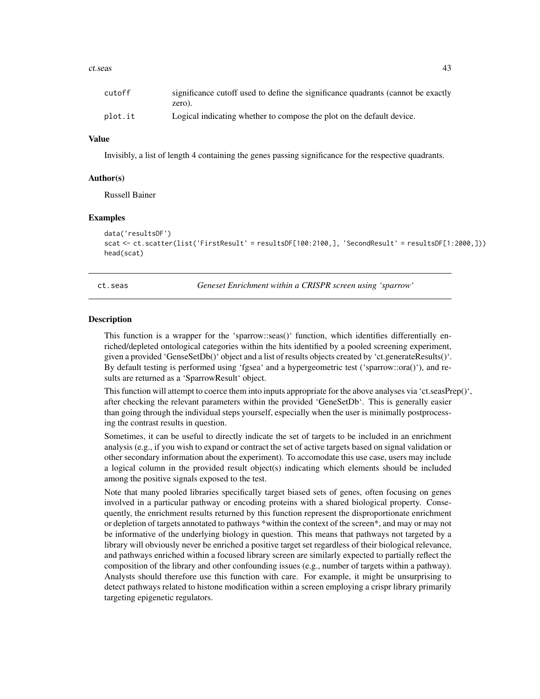#### <span id="page-42-0"></span>ct.seas and the contract of the contract of the contract of the contract of the contract of the contract of the contract of the contract of the contract of the contract of the contract of the contract of the contract of th

| cutoff  | significance cutoff used to define the significance quadrants (cannot be exactly |
|---------|----------------------------------------------------------------------------------|
|         | zero).                                                                           |
| plot.it | Logical indicating whether to compose the plot on the default device.            |

#### Value

Invisibly, a list of length 4 containing the genes passing significance for the respective quadrants.

#### Author(s)

Russell Bainer

#### Examples

```
data('resultsDF')
scat <- ct.scatter(list('FirstResult' = resultsDF[100:2100,], 'SecondResult' = resultsDF[1:2000,]))
head(scat)
```
ct.seas *Geneset Enrichment within a CRISPR screen using 'sparrow'*

#### Description

This function is a wrapper for the 'sparrow::seas()' function, which identifies differentially enriched/depleted ontological categories within the hits identified by a pooled screening experiment, given a provided 'GenseSetDb()' object and a list of results objects created by 'ct.generateResults()'. By default testing is performed using 'fgsea' and a hypergeometric test ('sparrow::ora()'), and results are returned as a 'SparrowResult' object.

This function will attempt to coerce them into inputs appropriate for the above analyses via 'ct.seasPrep()', after checking the relevant parameters within the provided 'GeneSetDb'. This is generally easier than going through the individual steps yourself, especially when the user is minimally postprocessing the contrast results in question.

Sometimes, it can be useful to directly indicate the set of targets to be included in an enrichment analysis (e.g., if you wish to expand or contract the set of active targets based on signal validation or other secondary information about the experiment). To accomodate this use case, users may include a logical column in the provided result object(s) indicating which elements should be included among the positive signals exposed to the test.

Note that many pooled libraries specifically target biased sets of genes, often focusing on genes involved in a particular pathway or encoding proteins with a shared biological property. Consequently, the enrichment results returned by this function represent the disproportionate enrichment or depletion of targets annotated to pathways \*within the context of the screen\*, and may or may not be informative of the underlying biology in question. This means that pathways not targeted by a library will obviously never be enriched a positive target set regardless of their biological relevance, and pathways enriched within a focused library screen are similarly expected to partially reflect the composition of the library and other confounding issues (e.g., number of targets within a pathway). Analysts should therefore use this function with care. For example, it might be unsurprising to detect pathways related to histone modification within a screen employing a crispr library primarily targeting epigenetic regulators.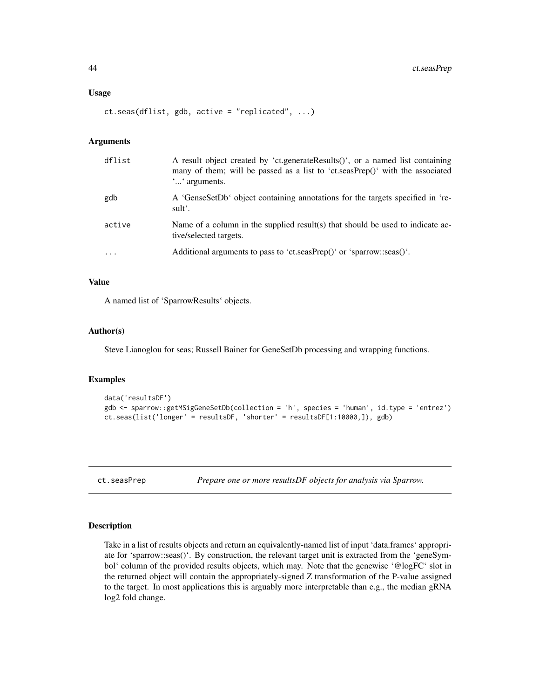#### <span id="page-43-0"></span>Usage

ct.seas(dflist, gdb, active = "replicated", ...)

#### Arguments

| dflist  | A result object created by 'ct.generateResults()', or a named list containing<br>many of them; will be passed as a list to 'ct.seasPrep()' with the associated<br>"" arguments. |
|---------|---------------------------------------------------------------------------------------------------------------------------------------------------------------------------------|
| gdb     | A 'GenseSetDb' object containing annotations for the targets specified in 're-<br>sult'.                                                                                        |
| active  | Name of a column in the supplied result(s) that should be used to indicate ac-<br>tive/selected targets.                                                                        |
| $\cdot$ | Additional arguments to pass to 'ct.seasPrep()' or 'sparrow::seas()'.                                                                                                           |

#### Value

A named list of 'SparrowResults' objects.

#### Author(s)

Steve Lianoglou for seas; Russell Bainer for GeneSetDb processing and wrapping functions.

#### Examples

```
data('resultsDF')
gdb <- sparrow::getMSigGeneSetDb(collection = 'h', species = 'human', id.type = 'entrez')
ct.seas(list('longer' = resultsDF, 'shorter' = resultsDF[1:10000,]), gdb)
```
ct.seasPrep *Prepare one or more resultsDF objects for analysis via Sparrow.*

#### Description

Take in a list of results objects and return an equivalently-named list of input 'data.frames' appropriate for 'sparrow::seas()'. By construction, the relevant target unit is extracted from the 'geneSymbol' column of the provided results objects, which may. Note that the genewise '@logFC' slot in the returned object will contain the appropriately-signed Z transformation of the P-value assigned to the target. In most applications this is arguably more interpretable than e.g., the median gRNA log2 fold change.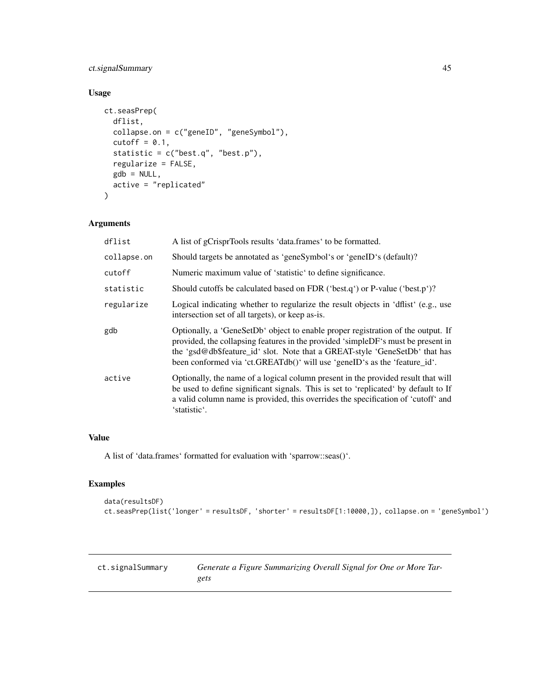# <span id="page-44-0"></span>ct.signalSummary 45

# Usage

```
ct.seasPrep(
  dflist,
  collapse.on = c("geneID", "geneSymbol"),
  cutoff = 0.1,
  statistic = c("best.q", "best.p"),
  regularize = FALSE,
  gdb = NULL,active = "replicated"
\lambda
```
# Arguments

| dflist      | A list of gCrisprTools results 'data.frames' to be formatted.                                                                                                                                                                                                                                                                    |
|-------------|----------------------------------------------------------------------------------------------------------------------------------------------------------------------------------------------------------------------------------------------------------------------------------------------------------------------------------|
| collapse.on | Should targets be annotated as 'geneSymbol's or 'geneID's (default)?                                                                                                                                                                                                                                                             |
| cutoff      | Numeric maximum value of 'statistic' to define significance.                                                                                                                                                                                                                                                                     |
| statistic   | Should cutoffs be calculated based on FDR ('best.q') or P-value ('best.p')?                                                                                                                                                                                                                                                      |
| regularize  | Logical indicating whether to regularize the result objects in 'dflist' (e.g., use<br>intersection set of all targets), or keep as-is.                                                                                                                                                                                           |
| gdb         | Optionally, a 'GeneSetDb' object to enable proper registration of the output. If<br>provided, the collapsing features in the provided 'simpleDF's must be present in<br>the 'gsd@db\$feature_id' slot. Note that a GREAT-style 'GeneSetDb' that has<br>been conformed via 'ct.GREATdb()' will use 'geneID's as the 'feature_id'. |
| active      | Optionally, the name of a logical column present in the provided result that will<br>be used to define significant signals. This is set to 'replicated' by default to If<br>a valid column name is provided, this overrides the specification of 'cutoff' and<br>'statistic'.                                                    |

# Value

A list of 'data.frames' formatted for evaluation with 'sparrow::seas()'.

# Examples

```
data(resultsDF)
ct.seasPrep(list('longer' = resultsDF, 'shorter' = resultsDF[1:10000,]), collapse.on = 'geneSymbol')
```

| ct.signalSummary | Generate a Figure Summarizing Overall Signal for One or More Tar- |
|------------------|-------------------------------------------------------------------|
|                  | gets                                                              |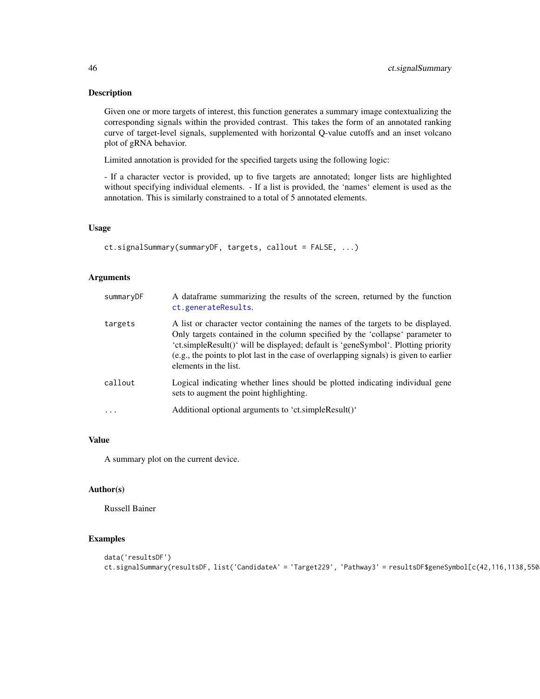#### Description

Given one or more targets of interest, this function generates a summary image contextualizing the corresponding signals within the provided contrast. This takes the form of an annotated ranking curve of target-level signals, supplemented with horizontal Q-value cutoffs and an inset volcano plot of gRNA behavior.

Limited annotation is provided for the specified targets using the following logic:

- If a character vector is provided, up to five targets are annotated; longer lists are highlighted without specifying individual elements. - If a list is provided, the 'names' element is used as the annotation. This is similarly constrained to a total of 5 annotated elements.

# Usage

```
ct.signalSummary(summaryDF, targets, callout = FALSE, ...)
```
# Arguments

| summaryDF | A dataframe summarizing the results of the screen, returned by the function<br>ct.generateResults.                                                                                                                                                                                                                                                                       |
|-----------|--------------------------------------------------------------------------------------------------------------------------------------------------------------------------------------------------------------------------------------------------------------------------------------------------------------------------------------------------------------------------|
| targets   | A list or character vector containing the names of the targets to be displayed.<br>Only targets contained in the column specified by the 'collapse' parameter to<br>'ct.simpleResult()' will be displayed; default is 'geneSymbol'. Plotting priority<br>(e.g., the points to plot last in the case of overlapping signals) is given to earlier<br>elements in the list. |
| callout   | Logical indicating whether lines should be plotted indicating individual gene<br>sets to augment the point highlighting.                                                                                                                                                                                                                                                 |
| $\cdot$   | Additional optional arguments to 'ct.simpleResult()'                                                                                                                                                                                                                                                                                                                     |

# Value

A summary plot on the current device.

# Author(s)

Russell Bainer

# Examples

```
data('resultsDF')
ct.signalSummary(resultsDF, list('CandidateA' = 'Target229', 'Pathway3' = resultsDF$geneSymbol[c(42,116,1138,5508)]))
```
<span id="page-45-0"></span>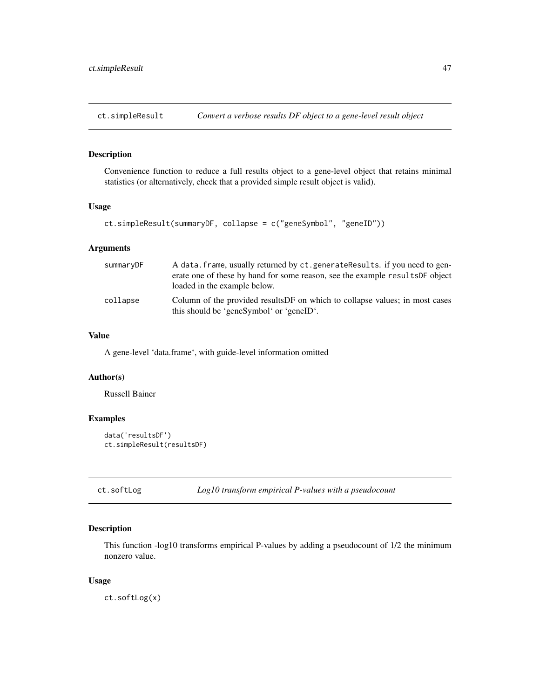<span id="page-46-0"></span>

#### Description

Convenience function to reduce a full results object to a gene-level object that retains minimal statistics (or alternatively, check that a provided simple result object is valid).

#### Usage

```
ct.simpleResult(summaryDF, collapse = c("geneSymbol", "geneID"))
```
# Arguments

| summaryDF | A data. frame, usually returned by ct. generate Results. if you need to gen-<br>erate one of these by hand for some reason, see the example results DF object<br>loaded in the example below. |
|-----------|-----------------------------------------------------------------------------------------------------------------------------------------------------------------------------------------------|
| collapse  | Column of the provided results DF on which to collapse values; in most cases<br>this should be 'geneSymbol' or 'geneID'.                                                                      |

# Value

A gene-level 'data.frame', with guide-level information omitted

#### Author(s)

Russell Bainer

# Examples

```
data('resultsDF')
ct.simpleResult(resultsDF)
```
ct.softLog *Log10 transform empirical P-values with a pseudocount*

# Description

This function -log10 transforms empirical P-values by adding a pseudocount of 1/2 the minimum nonzero value.

#### Usage

ct.softLog(x)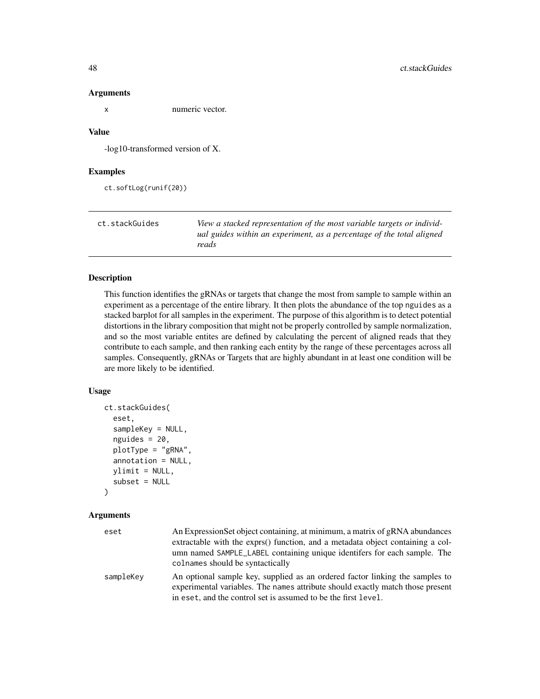<span id="page-47-0"></span>

x numeric vector.

# Value

-log10-transformed version of X.

#### Examples

```
ct.softLog(runif(20))
```

| ct.stackGuides | View a stacked representation of the most variable targets or individ-         |
|----------------|--------------------------------------------------------------------------------|
|                | ual guides within an experiment, as a percentage of the total aligned<br>reads |

# Description

This function identifies the gRNAs or targets that change the most from sample to sample within an experiment as a percentage of the entire library. It then plots the abundance of the top nguides as a stacked barplot for all samples in the experiment. The purpose of this algorithm is to detect potential distortions in the library composition that might not be properly controlled by sample normalization, and so the most variable entites are defined by calculating the percent of aligned reads that they contribute to each sample, and then ranking each entity by the range of these percentages across all samples. Consequently, gRNAs or Targets that are highly abundant in at least one condition will be are more likely to be identified.

#### Usage

```
ct.stackGuides(
  eset,
  sampleKey = NULL,
  nguides = 20,
  plotType = "gRNA",
  annotation = NULL,
  ylimit = NULL,
  subset = NULL
```
 $\mathcal{L}$ 

#### Arguments

| eset      | An Expression Set object containing, at minimum, a matrix of gRNA abundances                                                                                   |
|-----------|----------------------------------------------------------------------------------------------------------------------------------------------------------------|
|           | extractable with the exprs() function, and a metadata object containing a col-                                                                                 |
|           | umn named SAMPLE_LABEL containing unique identifers for each sample. The                                                                                       |
|           | colnames should be syntactically                                                                                                                               |
| sampleKey | An optional sample key, supplied as an ordered factor linking the samples to<br>experimental variables. The names attribute should exactly match those present |
|           | in eset, and the control set is assumed to be the first level.                                                                                                 |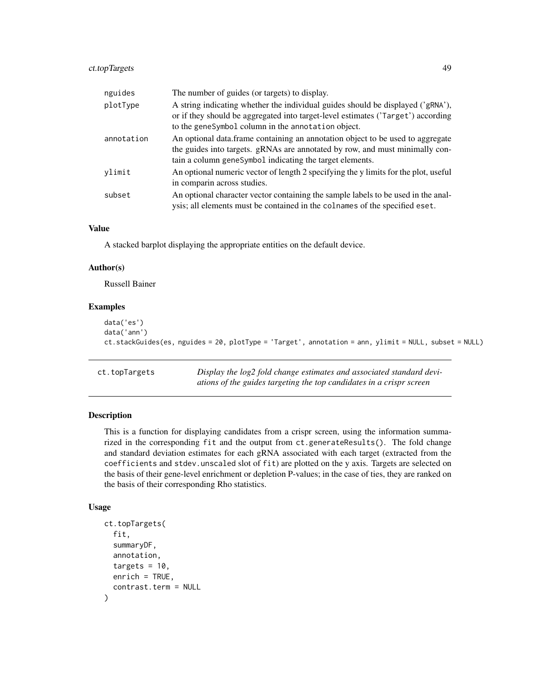# <span id="page-48-0"></span>ct.topTargets 49

| nguides    | The number of guides (or targets) to display.                                                                                                                                                                              |
|------------|----------------------------------------------------------------------------------------------------------------------------------------------------------------------------------------------------------------------------|
| plotType   | A string indicating whether the individual guides should be displayed ('gRNA'),<br>or if they should be aggregated into target-level estimates ('Target') according<br>to the geneSymbol column in the annotation object.  |
| annotation | An optional data.frame containing an annotation object to be used to aggregate<br>the guides into targets. gRNAs are annotated by row, and must minimally con-<br>tain a column geneSymbol indicating the target elements. |
| vlimit     | An optional numeric vector of length 2 specifying the y limits for the plot, useful<br>in comparin across studies.                                                                                                         |
| subset     | An optional character vector containing the sample labels to be used in the anal-<br>ysis; all elements must be contained in the colnames of the specified eset.                                                           |

# Value

A stacked barplot displaying the appropriate entities on the default device.

#### Author(s)

Russell Bainer

# Examples

```
data('es')
data('ann')
ct.stackGuides(es, nguides = 20, plotType = 'Target', annotation = ann, ylimit = NULL, subset = NULL)
```
ct.topTargets *Display the log2 fold change estimates and associated standard deviations of the guides targeting the top candidates in a crispr screen*

# Description

This is a function for displaying candidates from a crispr screen, using the information summarized in the corresponding fit and the output from ct.generateResults(). The fold change and standard deviation estimates for each gRNA associated with each target (extracted from the coefficients and stdev.unscaled slot of fit) are plotted on the y axis. Targets are selected on the basis of their gene-level enrichment or depletion P-values; in the case of ties, they are ranked on the basis of their corresponding Rho statistics.

```
ct.topTargets(
  fit,
  summaryDF,
  annotation,
  targets = 10.
  enrich = TRUE,contrast.term = NULL
)
```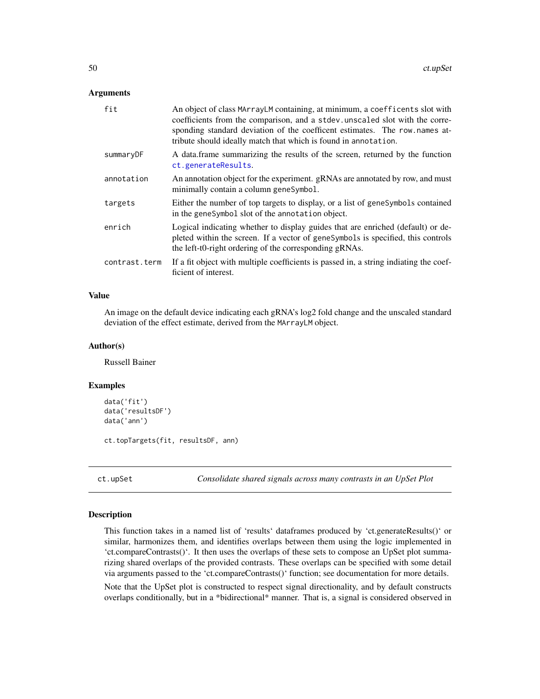<span id="page-49-0"></span>

| fit           | An object of class MArrayLM containing, at minimum, a coefficents slot with<br>coefficients from the comparison, and a stdev. unscaled slot with the corre-<br>sponding standard deviation of the coefficent estimates. The row names at-<br>tribute should ideally match that which is found in annotation. |
|---------------|--------------------------------------------------------------------------------------------------------------------------------------------------------------------------------------------------------------------------------------------------------------------------------------------------------------|
| summaryDF     | A data frame summarizing the results of the screen, returned by the function<br>ct.generateResults.                                                                                                                                                                                                          |
| annotation    | An annotation object for the experiment. gRNAs are annotated by row, and must<br>minimally contain a column geneSymbol.                                                                                                                                                                                      |
| targets       | Either the number of top targets to display, or a list of genesymbols contained<br>in the geneSymbol slot of the annotation object.                                                                                                                                                                          |
| enrich        | Logical indicating whether to display guides that are enriched (default) or de-<br>pleted within the screen. If a vector of genesymbols is specified, this controls<br>the left-t0-right ordering of the corresponding gRNAs.                                                                                |
| contrast.term | If a fit object with multiple coefficients is passed in, a string indiating the coef-<br>ficient of interest.                                                                                                                                                                                                |

#### Value

An image on the default device indicating each gRNA's log2 fold change and the unscaled standard deviation of the effect estimate, derived from the MArrayLM object.

# Author(s)

Russell Bainer

#### Examples

```
data('fit')
data('resultsDF')
data('ann')
```
ct.topTargets(fit, resultsDF, ann)

ct.upSet *Consolidate shared signals across many contrasts in an UpSet Plot*

#### Description

This function takes in a named list of 'results' dataframes produced by 'ct.generateResults()' or similar, harmonizes them, and identifies overlaps between them using the logic implemented in 'ct.compareContrasts()'. It then uses the overlaps of these sets to compose an UpSet plot summarizing shared overlaps of the provided contrasts. These overlaps can be specified with some detail via arguments passed to the 'ct.compareContrasts()' function; see documentation for more details.

Note that the UpSet plot is constructed to respect signal directionality, and by default constructs overlaps conditionally, but in a \*bidirectional\* manner. That is, a signal is considered observed in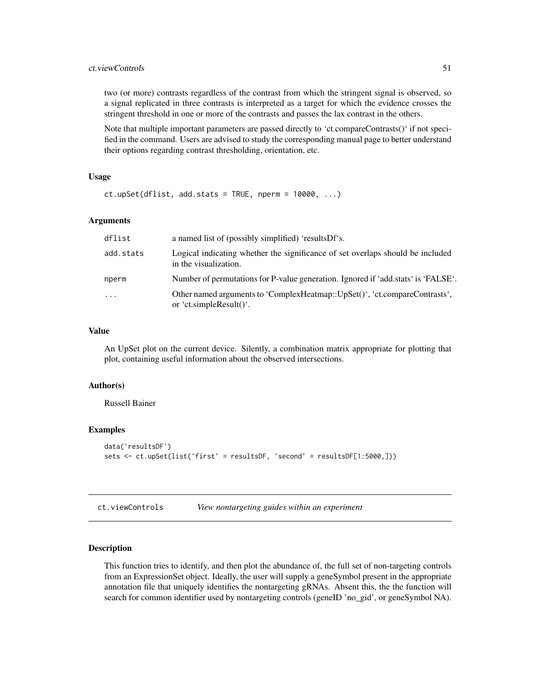# <span id="page-50-0"></span>ct. viewControls 51

two (or more) contrasts regardless of the contrast from which the stringent signal is observed, so a signal replicated in three contrasts is interpreted as a target for which the evidence crosses the stringent threshold in one or more of the contrasts and passes the lax contrast in the others.

Note that multiple important parameters are passed directly to 'ct.compareContrasts()' if not specified in the command. Users are advised to study the corresponding manual page to better understand their options regarding contrast thresholding, orientation, etc.

#### Usage

```
ct.upSet(dflist, add.stats = TRUE, nperm = 10000, ...)
```
#### Arguments

| dflist    | a named list of (possibly simplified) 'results Df's.                                                    |
|-----------|---------------------------------------------------------------------------------------------------------|
| add.stats | Logical indicating whether the significance of set overlaps should be included<br>in the visualization. |
| nperm     | Number of permutations for P-value generation. Ignored if 'add.stats' is 'FALSE'.                       |
| $\cdots$  | Other named arguments to 'ComplexHeatmap::UpSet()', 'ct.compareContrasts',<br>or 'ct.simpleResult()'.   |

# Value

An UpSet plot on the current device. Silently, a combination matrix appropriate for plotting that plot, containing useful information about the observed intersections.

#### Author(s)

Russell Bainer

#### Examples

```
data('resultsDF')
sets <- ct.upSet(list('first' = resultsDF, 'second' = resultsDF[1:5000,]))
```
<span id="page-50-1"></span>

# **Description**

This function tries to identify, and then plot the abundance of, the full set of non-targeting controls from an ExpressionSet object. Ideally, the user will supply a geneSymbol present in the appropriate annotation file that uniquely identifies the nontargeting gRNAs. Absent this, the the function will search for common identifier used by nontargeting controls (geneID 'no\_gid', or geneSymbol NA).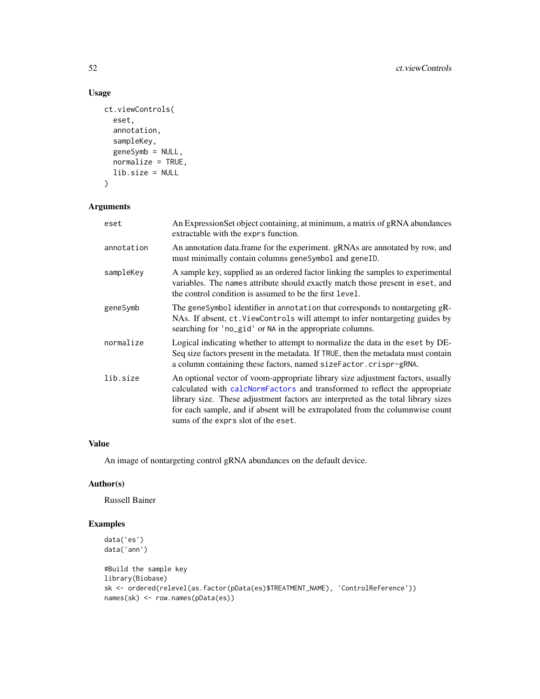# Usage

```
ct.viewControls(
  eset,
  annotation,
  sampleKey,
  geneSymb = NULL,
  normalize = TRUE,
  lib.size = NULL
\mathcal{L}
```
# Arguments

| eset       | An Expression Set object containing, at minimum, a matrix of gRNA abundances<br>extractable with the exprs function.                                                                                                                                                                                                                                                       |  |
|------------|----------------------------------------------------------------------------------------------------------------------------------------------------------------------------------------------------------------------------------------------------------------------------------------------------------------------------------------------------------------------------|--|
| annotation | An annotation data.frame for the experiment. gRNAs are annotated by row, and<br>must minimally contain columns geneSymbol and geneID.                                                                                                                                                                                                                                      |  |
| sampleKey  | A sample key, supplied as an ordered factor linking the samples to experimental<br>variables. The names attribute should exactly match those present in eset, and<br>the control condition is assumed to be the first level.                                                                                                                                               |  |
| geneSymb   | The geneSymbol identifier in annotation that corresponds to nontargeting gR-<br>NAs. If absent, ct. ViewControls will attempt to infer nontargeting guides by<br>searching for 'no_gid' or NA in the appropriate columns.                                                                                                                                                  |  |
| normalize  | Logical indicating whether to attempt to normalize the data in the eset by DE-<br>Seq size factors present in the metadata. If TRUE, then the metadata must contain<br>a column containing these factors, named sizeFactor.crispr-gRNA.                                                                                                                                    |  |
| lib.size   | An optional vector of voom-appropriate library size adjustment factors, usually<br>calculated with calcNormFactors and transformed to reflect the appropriate<br>library size. These adjustment factors are interpreted as the total library sizes<br>for each sample, and if absent will be extrapolated from the columnwise count<br>sums of the exprs slot of the eset. |  |

# Value

An image of nontargeting control gRNA abundances on the default device.

# Author(s)

Russell Bainer

# Examples

```
data('es')
data('ann')
#Build the sample key
library(Biobase)
sk <- ordered(relevel(as.factor(pData(es)$TREATMENT_NAME), 'ControlReference'))
names(sk) <- row.names(pData(es))
```
<span id="page-51-0"></span>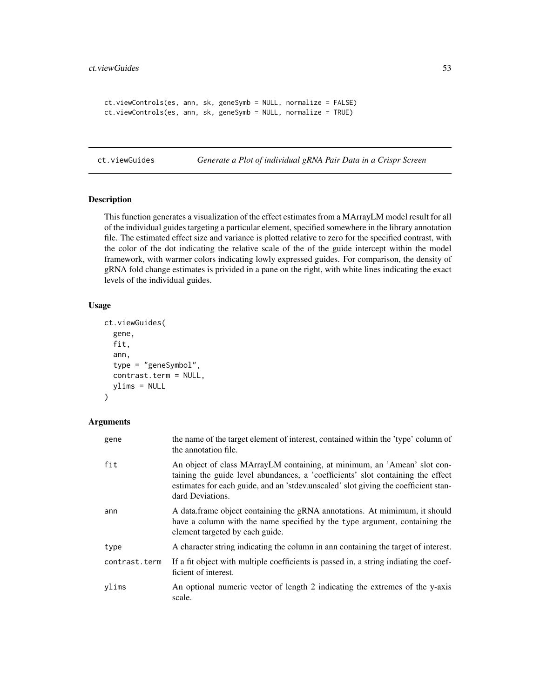```
ct.viewControls(es, ann, sk, geneSymb = NULL, normalize = FALSE)
ct.viewControls(es, ann, sk, geneSymb = NULL, normalize = TRUE)
```
ct.viewGuides *Generate a Plot of individual gRNA Pair Data in a Crispr Screen*

# Description

This function generates a visualization of the effect estimates from a MArrayLM model result for all of the individual guides targeting a particular element, specified somewhere in the library annotation file. The estimated effect size and variance is plotted relative to zero for the specified contrast, with the color of the dot indicating the relative scale of the of the guide intercept within the model framework, with warmer colors indicating lowly expressed guides. For comparison, the density of gRNA fold change estimates is privided in a pane on the right, with white lines indicating the exact levels of the individual guides.

# Usage

```
ct.viewGuides(
  gene,
  fit,
  ann,
  type = "geneSymbol",
  contrast.term = NULL,
  ylims = NULL
)
```
# Arguments

| gene          | the name of the target element of interest, contained within the 'type' column of<br>the annotation file.                                                                                                                                                              |
|---------------|------------------------------------------------------------------------------------------------------------------------------------------------------------------------------------------------------------------------------------------------------------------------|
| fit           | An object of class MArrayLM containing, at minimum, an 'Amean' slot con-<br>taining the guide level abundances, a 'coefficients' slot containing the effect<br>estimates for each guide, and an 'stdev.unscaled' slot giving the coefficient stan-<br>dard Deviations. |
| ann           | A data frame object containing the gRNA annotations. At mimimum, it should<br>have a column with the name specified by the type argument, containing the<br>element targeted by each guide.                                                                            |
| type          | A character string indicating the column in ann containing the target of interest.                                                                                                                                                                                     |
| contrast.term | If a fit object with multiple coefficients is passed in, a string indiating the coef-<br>ficient of interest.                                                                                                                                                          |
| ylims         | An optional numeric vector of length 2 indicating the extremes of the y-axis<br>scale.                                                                                                                                                                                 |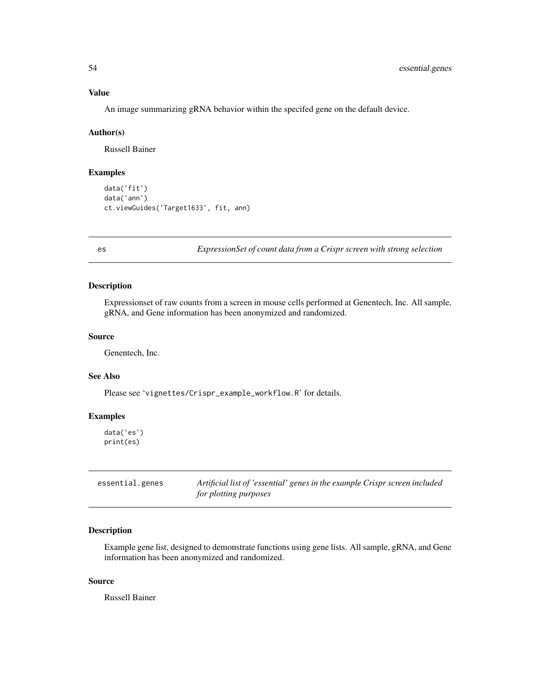# <span id="page-53-0"></span>Value

An image summarizing gRNA behavior within the specifed gene on the default device.

#### Author(s)

Russell Bainer

#### Examples

```
data('fit')
data('ann')
ct.viewGuides('Target1633', fit, ann)
```
es *ExpressionSet of count data from a Crispr screen with strong selection*

# **Description**

Expressionset of raw counts from a screen in mouse cells performed at Genentech, Inc. All sample, gRNA, and Gene information has been anonymized and randomized.

# Source

Genentech, Inc.

# See Also

Please see 'vignettes/Crispr\_example\_workflow.R' for details.

# Examples

```
data('es')
print(es)
```

| essential.genes | Artificial list of 'essential' genes in the example Crispr screen included |
|-----------------|----------------------------------------------------------------------------|
|                 | for plotting purposes                                                      |

# Description

Example gene list, designed to demonstrate functions using gene lists. All sample, gRNA, and Gene information has been anonymized and randomized.

# Source

Russell Bainer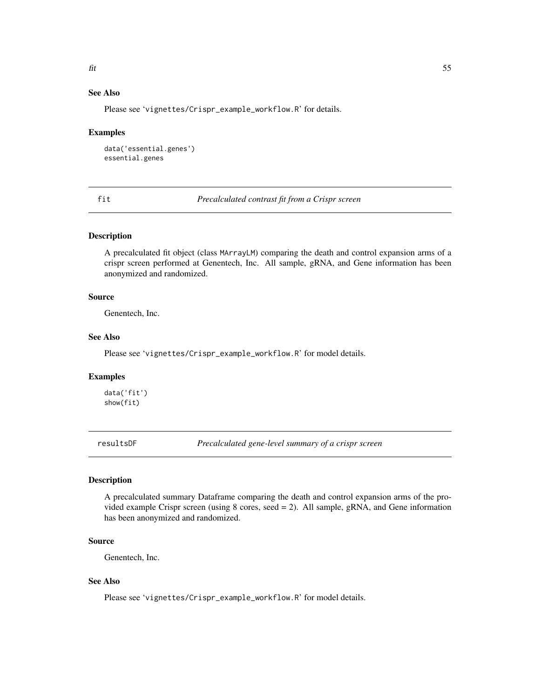# <span id="page-54-0"></span>See Also

Please see 'vignettes/Crispr\_example\_workflow.R' for details.

#### Examples

```
data('essential.genes')
essential.genes
```
fit *Precalculated contrast fit from a Crispr screen*

#### Description

A precalculated fit object (class MArrayLM) comparing the death and control expansion arms of a crispr screen performed at Genentech, Inc. All sample, gRNA, and Gene information has been anonymized and randomized.

# Source

Genentech, Inc.

#### See Also

Please see 'vignettes/Crispr\_example\_workflow.R' for model details.

#### Examples

data('fit') show(fit)

resultsDF *Precalculated gene-level summary of a crispr screen*

# Description

A precalculated summary Dataframe comparing the death and control expansion arms of the provided example Crispr screen (using 8 cores, seed = 2). All sample, gRNA, and Gene information has been anonymized and randomized.

#### Source

Genentech, Inc.

# See Also

Please see 'vignettes/Crispr\_example\_workflow.R' for model details.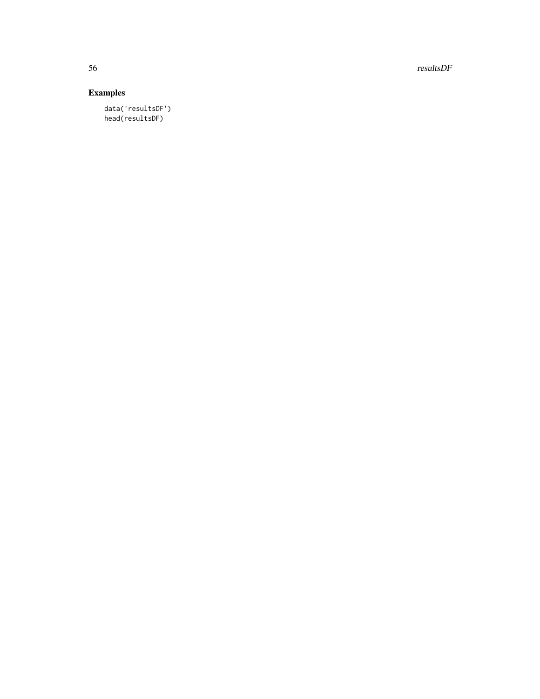56 resultsDF

# Examples

data('resultsDF') head(resultsDF)